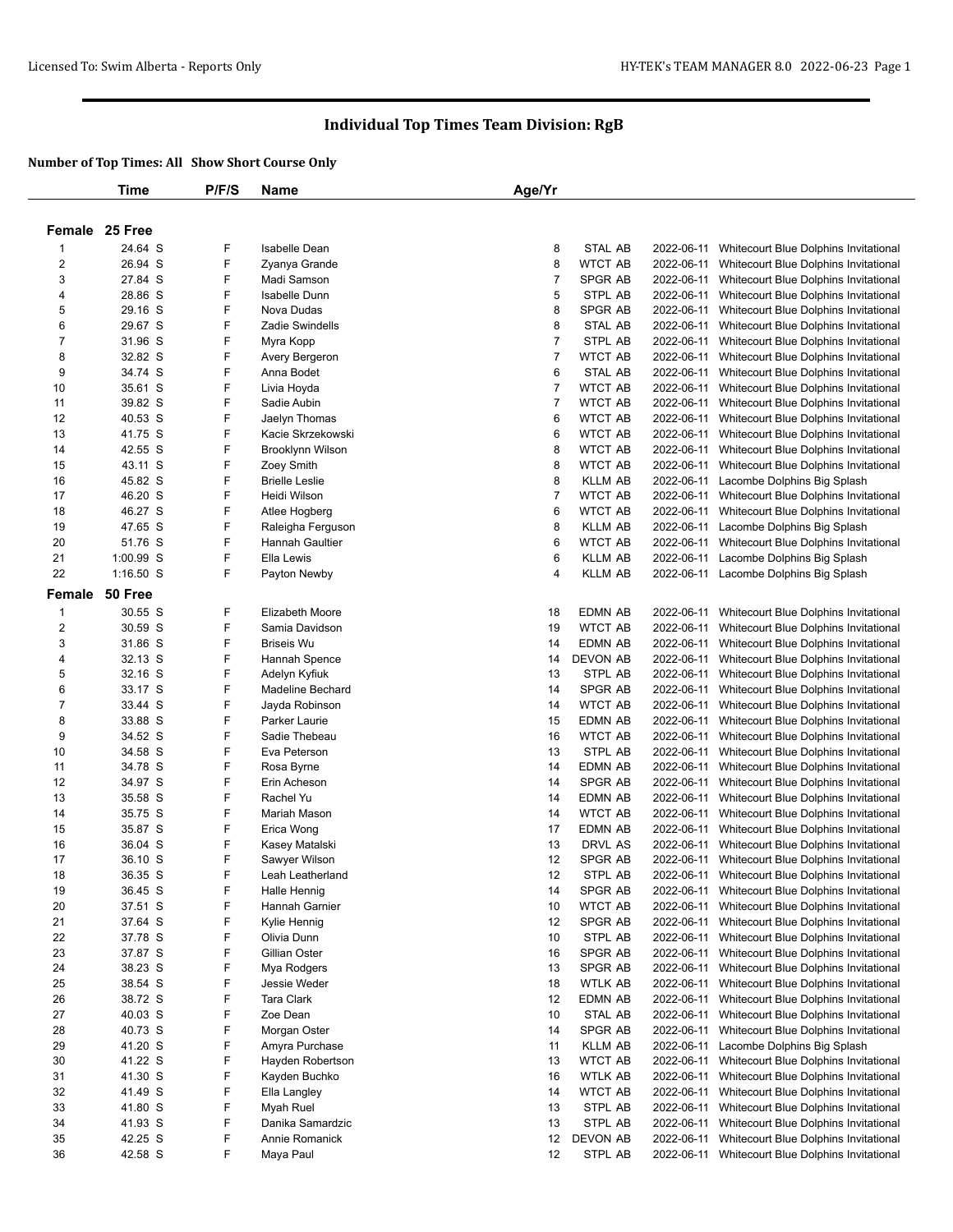|                | Time               | P/F/S  | <b>Name</b>                         | Age/Yr         |                                  |            |                                                                                |
|----------------|--------------------|--------|-------------------------------------|----------------|----------------------------------|------------|--------------------------------------------------------------------------------|
|                |                    |        |                                     |                |                                  |            |                                                                                |
|                | Female 25 Free     |        |                                     |                |                                  |            |                                                                                |
|                |                    |        |                                     |                |                                  |            |                                                                                |
| -1             | 24.64 S<br>26.94 S | F<br>F | <b>Isabelle Dean</b>                | 8              | <b>STAL AB</b>                   | 2022-06-11 | Whitecourt Blue Dolphins Invitational                                          |
| 2              |                    | F      | Zyanya Grande                       | 8              | <b>WTCT AB</b>                   | 2022-06-11 | Whitecourt Blue Dolphins Invitational                                          |
| 3              | 27.84 S            | F      | Madi Samson<br><b>Isabelle Dunn</b> | $\overline{7}$ | <b>SPGR AB</b><br><b>STPL AB</b> | 2022-06-11 | Whitecourt Blue Dolphins Invitational                                          |
| 4              | 28.86 S            |        |                                     | 5              |                                  | 2022-06-11 | Whitecourt Blue Dolphins Invitational                                          |
| 5              | 29.16 S            | F      | Nova Dudas                          | 8              | SPGR AB                          | 2022-06-11 | Whitecourt Blue Dolphins Invitational                                          |
| 6              | 29.67 S            | F<br>F | Zadie Swindells                     | 8              | STAL AB                          | 2022-06-11 | Whitecourt Blue Dolphins Invitational                                          |
| 7              | 31.96 S            |        | Myra Kopp                           | $\overline{7}$ | STPL AB                          | 2022-06-11 | Whitecourt Blue Dolphins Invitational                                          |
| 8              | 32.82 S            | F      | Avery Bergeron                      | 7              | <b>WTCT AB</b>                   | 2022-06-11 | Whitecourt Blue Dolphins Invitational                                          |
| 9              | 34.74 S            | F      | Anna Bodet                          | 6              | STAL AB                          | 2022-06-11 | Whitecourt Blue Dolphins Invitational                                          |
| 10             | 35.61 S            | F      | Livia Hoyda                         | $\overline{7}$ | <b>WTCT AB</b>                   | 2022-06-11 | Whitecourt Blue Dolphins Invitational                                          |
| 11             | 39.82 S            | F      | Sadie Aubin                         | 7              | <b>WTCT AB</b>                   | 2022-06-11 | Whitecourt Blue Dolphins Invitational                                          |
| 12             | 40.53 S            | F      | Jaelyn Thomas                       | 6              | WTCT AB                          | 2022-06-11 | Whitecourt Blue Dolphins Invitational                                          |
| 13             | 41.75 S            | F      | Kacie Skrzekowski                   | 6              | <b>WTCT AB</b>                   | 2022-06-11 | Whitecourt Blue Dolphins Invitational                                          |
| 14             | 42.55 S            | F      | Brooklynn Wilson                    | 8              | <b>WTCT AB</b>                   | 2022-06-11 | Whitecourt Blue Dolphins Invitational                                          |
| 15             | 43.11 S            | F      | Zoey Smith                          | 8              | WTCT AB                          | 2022-06-11 | Whitecourt Blue Dolphins Invitational                                          |
| 16             | 45.82 S            | F      | <b>Brielle Leslie</b>               | 8              | <b>KLLM AB</b>                   | 2022-06-11 | Lacombe Dolphins Big Splash                                                    |
| 17             | 46.20 S            | F      | Heidi Wilson                        | $\overline{7}$ | <b>WTCT AB</b>                   | 2022-06-11 | Whitecourt Blue Dolphins Invitational                                          |
| 18             | 46.27 S            | F      | Atlee Hogberg                       | 6              | <b>WTCT AB</b>                   | 2022-06-11 | Whitecourt Blue Dolphins Invitational                                          |
| 19             | 47.65 S            | F      | Raleigha Ferguson                   | 8              | <b>KLLM AB</b>                   | 2022-06-11 | Lacombe Dolphins Big Splash                                                    |
| 20             | 51.76 S            | F      | <b>Hannah Gaultier</b>              | 6              | <b>WTCT AB</b>                   | 2022-06-11 | Whitecourt Blue Dolphins Invitational                                          |
| 21             | 1:00.99 S          | F      | Ella Lewis                          | 6              | <b>KLLM AB</b>                   | 2022-06-11 | Lacombe Dolphins Big Splash                                                    |
| 22             | $1:16.50$ S        | F      | Payton Newby                        | 4              | KLLM AB                          | 2022-06-11 | Lacombe Dolphins Big Splash                                                    |
| Female         | 50 Free            |        |                                     |                |                                  |            |                                                                                |
| $\mathbf{1}$   | 30.55 S            | F      | Elizabeth Moore                     | 18             | <b>EDMN AB</b>                   | 2022-06-11 | Whitecourt Blue Dolphins Invitational                                          |
| $\overline{2}$ | 30.59 S            | F      | Samia Davidson                      | 19             | <b>WTCT AB</b>                   | 2022-06-11 | Whitecourt Blue Dolphins Invitational                                          |
| 3              | 31.86 S            | F      | <b>Briseis Wu</b>                   | 14             | <b>EDMN AB</b>                   | 2022-06-11 | Whitecourt Blue Dolphins Invitational                                          |
| 4              | 32.13 S            | F      | Hannah Spence                       | 14             | <b>DEVON AB</b>                  | 2022-06-11 | Whitecourt Blue Dolphins Invitational                                          |
| 5              | 32.16 S            | F      | Adelyn Kyfiuk                       | 13             | STPL AB                          | 2022-06-11 | Whitecourt Blue Dolphins Invitational                                          |
| 6              | 33.17 S            | F      | Madeline Bechard                    | 14             | SPGR AB                          | 2022-06-11 | Whitecourt Blue Dolphins Invitational                                          |
| 7              | 33.44 S            | F      | Jayda Robinson                      | 14             | <b>WTCT AB</b>                   | 2022-06-11 | Whitecourt Blue Dolphins Invitational                                          |
| 8              | 33.88 S            | F      | Parker Laurie                       | 15             | <b>EDMN AB</b>                   | 2022-06-11 | Whitecourt Blue Dolphins Invitational                                          |
| 9              | 34.52 S            | F      | Sadie Thebeau                       | 16             | WTCT AB                          | 2022-06-11 | Whitecourt Blue Dolphins Invitational                                          |
| 10             | 34.58 S            | F      | Eva Peterson                        | 13             | STPL AB                          | 2022-06-11 | Whitecourt Blue Dolphins Invitational                                          |
| 11             | 34.78 S            | F      | Rosa Byrne                          | 14             | EDMN AB                          | 2022-06-11 | Whitecourt Blue Dolphins Invitational                                          |
| 12             | 34.97 S            | F      | Erin Acheson                        | 14             | SPGR AB                          | 2022-06-11 | Whitecourt Blue Dolphins Invitational                                          |
| 13             | 35.58 S            | F      | Rachel Yu                           | 14             | EDMN AB                          | 2022-06-11 | Whitecourt Blue Dolphins Invitational                                          |
| 14             | 35.75 S            | F      | Mariah Mason                        | 14             | <b>WTCT AB</b>                   | 2022-06-11 | Whitecourt Blue Dolphins Invitational                                          |
| 15             | 35.87 S            | F      | Erica Wong                          | 17             | EDMN AB                          | 2022-06-11 | Whitecourt Blue Dolphins Invitational                                          |
| 16             | 36.04 S            | F      | Kasey Matalski                      | 13             | DRVL AS                          | 2022-06-11 | Whitecourt Blue Dolphins Invitational                                          |
| 17             | 36.10 S            | F      | Sawyer Wilson                       | 12             | SPGR AB                          | 2022-06-11 | Whitecourt Blue Dolphins Invitational                                          |
| 18             | 36.35 S            | F      | Leah Leatherland                    | 12             | STPL AB                          | 2022-06-11 | Whitecourt Blue Dolphins Invitational                                          |
| 19             | 36.45 S            | F      | <b>Halle Hennig</b>                 | 14             | <b>SPGR AB</b>                   | 2022-06-11 | Whitecourt Blue Dolphins Invitational                                          |
| 20             | 37.51 S            | F      | Hannah Garnier                      | 10             | <b>WTCT AB</b>                   | 2022-06-11 | Whitecourt Blue Dolphins Invitational                                          |
| 21             | 37.64 S            | F      | Kylie Hennig                        | 12             | SPGR AB                          | 2022-06-11 | Whitecourt Blue Dolphins Invitational                                          |
| 22             | 37.78 S            | F      | Olivia Dunn                         | 10             | STPL AB                          | 2022-06-11 | Whitecourt Blue Dolphins Invitational                                          |
| 23             | 37.87 S            | F      | Gillian Oster                       | 16             | SPGR AB                          | 2022-06-11 | Whitecourt Blue Dolphins Invitational                                          |
| 24             | 38.23 S            | F      |                                     | 13             | SPGR AB                          | 2022-06-11 |                                                                                |
| 25             | 38.54 S            | F      | Mya Rodgers<br>Jessie Weder         | 18             | WTLK AB                          | 2022-06-11 | Whitecourt Blue Dolphins Invitational<br>Whitecourt Blue Dolphins Invitational |
| 26             | 38.72 S            | F      | <b>Tara Clark</b>                   |                | EDMN AB                          | 2022-06-11 | Whitecourt Blue Dolphins Invitational                                          |
|                | 40.03 S            | F      | Zoe Dean                            | 12             |                                  |            |                                                                                |
| 27             |                    | F      |                                     | 10             | STAL AB                          | 2022-06-11 | Whitecourt Blue Dolphins Invitational                                          |
| 28             | 40.73 S            |        | Morgan Oster                        | 14             | SPGR AB                          | 2022-06-11 | Whitecourt Blue Dolphins Invitational                                          |
| 29             | 41.20 S            | F<br>F | Amyra Purchase                      | 11             | <b>KLLM AB</b>                   | 2022-06-11 | Lacombe Dolphins Big Splash                                                    |
| 30             | 41.22 S            |        | Hayden Robertson                    | 13             | <b>WTCT AB</b>                   | 2022-06-11 | Whitecourt Blue Dolphins Invitational                                          |
| 31             | 41.30 S            | F      | Kayden Buchko                       | 16             | <b>WTLK AB</b>                   | 2022-06-11 | Whitecourt Blue Dolphins Invitational                                          |
| 32             | 41.49 S            | F      | Ella Langley                        | 14             | WTCT AB                          | 2022-06-11 | Whitecourt Blue Dolphins Invitational                                          |
| 33             | 41.80 S            | F      | Myah Ruel                           | 13             | STPL AB                          | 2022-06-11 | Whitecourt Blue Dolphins Invitational                                          |
| 34             | 41.93 S            | F      | Danika Samardzic                    | 13             | STPL AB                          | 2022-06-11 | Whitecourt Blue Dolphins Invitational                                          |
| 35             | 42.25 S            | F      | Annie Romanick                      | 12             | <b>DEVON AB</b>                  | 2022-06-11 | Whitecourt Blue Dolphins Invitational                                          |
| 36             | 42.58 S            | F      | Maya Paul                           | 12             | STPL AB                          |            | 2022-06-11 Whitecourt Blue Dolphins Invitational                               |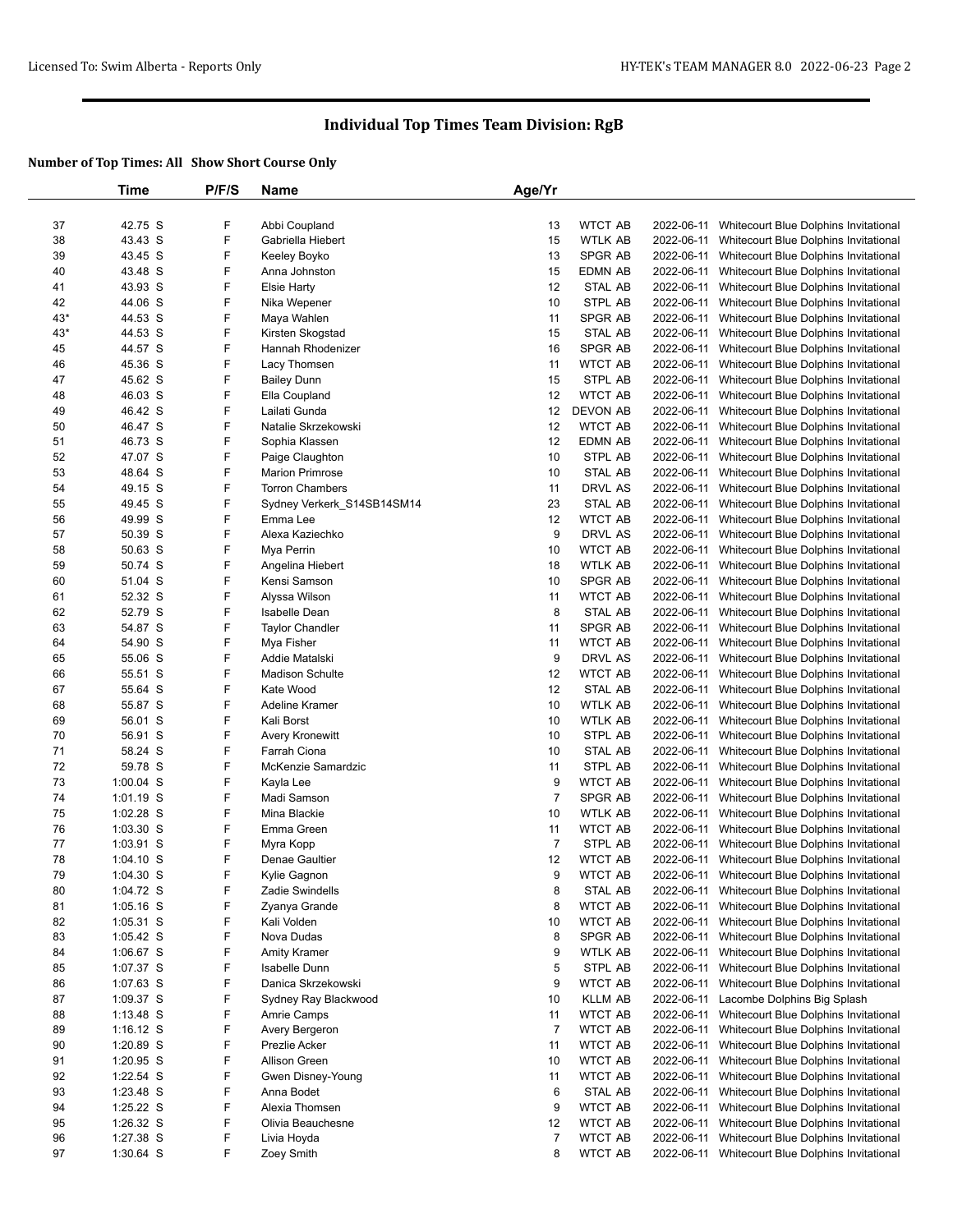|       | Time        | P/F/S | <b>Name</b>                | Age/Yr         |                 |            |                                       |
|-------|-------------|-------|----------------------------|----------------|-----------------|------------|---------------------------------------|
|       |             |       |                            |                |                 |            |                                       |
| 37    | 42.75 S     | F     | Abbi Coupland              | 13             | <b>WTCT AB</b>  | 2022-06-11 | Whitecourt Blue Dolphins Invitational |
| 38    | 43.43 S     | F     | Gabriella Hiebert          | 15             | <b>WTLK AB</b>  | 2022-06-11 | Whitecourt Blue Dolphins Invitational |
| 39    | 43.45 S     | F     | Keeley Boyko               | 13             | <b>SPGR AB</b>  | 2022-06-11 | Whitecourt Blue Dolphins Invitational |
| 40    | 43.48 S     | F     | Anna Johnston              | 15             | EDMN AB         | 2022-06-11 | Whitecourt Blue Dolphins Invitational |
| 41    | 43.93 S     | F     | <b>Elsie Harty</b>         | 12             | STAL AB         | 2022-06-11 | Whitecourt Blue Dolphins Invitational |
| 42    | 44.06 S     | F     | Nika Wepener               | 10             | STPL AB         | 2022-06-11 | Whitecourt Blue Dolphins Invitational |
| $43*$ | 44.53 S     | F     | Maya Wahlen                | 11             | SPGR AB         | 2022-06-11 | Whitecourt Blue Dolphins Invitational |
| $43*$ | 44.53 S     | F     | Kirsten Skogstad           | 15             | <b>STAL AB</b>  | 2022-06-11 | Whitecourt Blue Dolphins Invitational |
| 45    | 44.57 S     | F     | Hannah Rhodenizer          | 16             | SPGR AB         | 2022-06-11 | Whitecourt Blue Dolphins Invitational |
| 46    | 45.36 S     | F     | Lacy Thomsen               | 11             | <b>WTCT AB</b>  | 2022-06-11 | Whitecourt Blue Dolphins Invitational |
| 47    | 45.62 S     | F     | <b>Bailey Dunn</b>         | 15             | STPL AB         | 2022-06-11 | Whitecourt Blue Dolphins Invitational |
| 48    | 46.03 S     | F     | Ella Coupland              | 12             | <b>WTCT AB</b>  | 2022-06-11 | Whitecourt Blue Dolphins Invitational |
| 49    | 46.42 S     | F     | Lailati Gunda              | 12             | <b>DEVON AB</b> | 2022-06-11 |                                       |
|       |             |       |                            |                |                 |            | Whitecourt Blue Dolphins Invitational |
| 50    | 46.47 S     | F     | Natalie Skrzekowski        | 12             | <b>WTCT AB</b>  | 2022-06-11 | Whitecourt Blue Dolphins Invitational |
| 51    | 46.73 S     | F     | Sophia Klassen             | 12             | EDMN AB         | 2022-06-11 | Whitecourt Blue Dolphins Invitational |
| 52    | 47.07 S     | F     | Paige Claughton            | 10             | STPL AB         | 2022-06-11 | Whitecourt Blue Dolphins Invitational |
| 53    | 48.64 S     | F     | <b>Marion Primrose</b>     | 10             | STAL AB         | 2022-06-11 | Whitecourt Blue Dolphins Invitational |
| 54    | 49.15 S     | F     | <b>Torron Chambers</b>     | 11             | DRVL AS         | 2022-06-11 | Whitecourt Blue Dolphins Invitational |
| 55    | 49.45 S     | F     | Sydney Verkerk S14SB14SM14 | 23             | STAL AB         | 2022-06-11 | Whitecourt Blue Dolphins Invitational |
| 56    | 49.99 S     | F     | Emma Lee                   | 12             | <b>WTCT AB</b>  | 2022-06-11 | Whitecourt Blue Dolphins Invitational |
| 57    | 50.39 S     | F     | Alexa Kaziechko            | 9              | DRVL AS         | 2022-06-11 | Whitecourt Blue Dolphins Invitational |
| 58    | 50.63 S     | F     | Mya Perrin                 | 10             | <b>WTCT AB</b>  | 2022-06-11 | Whitecourt Blue Dolphins Invitational |
| 59    | 50.74 S     | F     | Angelina Hiebert           | 18             | <b>WTLK AB</b>  | 2022-06-11 | Whitecourt Blue Dolphins Invitational |
| 60    | 51.04 S     | F     | Kensi Samson               | 10             | SPGR AB         | 2022-06-11 | Whitecourt Blue Dolphins Invitational |
| 61    | 52.32 S     | F     | Alyssa Wilson              | 11             | <b>WTCT AB</b>  | 2022-06-11 | Whitecourt Blue Dolphins Invitational |
| 62    | 52.79 S     | F     | <b>Isabelle Dean</b>       | 8              | STAL AB         | 2022-06-11 | Whitecourt Blue Dolphins Invitational |
| 63    | 54.87 S     | F     | <b>Taylor Chandler</b>     | 11             | SPGR AB         | 2022-06-11 | Whitecourt Blue Dolphins Invitational |
| 64    | 54.90 S     | F     | Mya Fisher                 | 11             | <b>WTCT AB</b>  | 2022-06-11 | Whitecourt Blue Dolphins Invitational |
| 65    | 55.06 S     | F     | Addie Matalski             | 9              | DRVL AS         | 2022-06-11 | Whitecourt Blue Dolphins Invitational |
| 66    | 55.51 S     | F     | <b>Madison Schulte</b>     | 12             | <b>WTCT AB</b>  | 2022-06-11 | Whitecourt Blue Dolphins Invitational |
| 67    | 55.64 S     | F     | Kate Wood                  | 12             | STAL AB         | 2022-06-11 | Whitecourt Blue Dolphins Invitational |
| 68    | 55.87 S     | F     | Adeline Kramer             | 10             | <b>WTLK AB</b>  | 2022-06-11 | Whitecourt Blue Dolphins Invitational |
| 69    | 56.01 S     | F     | Kali Borst                 | 10             | <b>WTLK AB</b>  | 2022-06-11 | Whitecourt Blue Dolphins Invitational |
| 70    | 56.91 S     | F     | Avery Kronewitt            | 10             | STPL AB         | 2022-06-11 | Whitecourt Blue Dolphins Invitational |
| 71    | 58.24 S     | F     | Farrah Ciona               | 10             | STAL AB         | 2022-06-11 | Whitecourt Blue Dolphins Invitational |
| 72    | 59.78 S     | F     | McKenzie Samardzic         | 11             | STPL AB         | 2022-06-11 | Whitecourt Blue Dolphins Invitational |
| 73    | $1:00.04$ S | F     | Kayla Lee                  | 9              | <b>WTCT AB</b>  | 2022-06-11 | Whitecourt Blue Dolphins Invitational |
| 74    | 1:01.19 S   | F     | Madi Samson                | $\overline{7}$ | <b>SPGR AB</b>  | 2022-06-11 | Whitecourt Blue Dolphins Invitational |
| 75    | 1:02.28 S   | F     | Mina Blackie               | 10             | WTLK AB         | 2022-06-11 | Whitecourt Blue Dolphins Invitational |
| 76    | 1:03.30 S   | F     | Emma Green                 | 11             | <b>WTCT AB</b>  | 2022-06-11 | Whitecourt Blue Dolphins Invitational |
| 77    | 1:03.91 S   | F     | Myra Kopp                  | $\overline{7}$ | STPL AB         | 2022-06-11 | Whitecourt Blue Dolphins Invitational |
| 78    | 1:04.10 S   | F     | Denae Gaultier             | 12             | <b>WTCT AB</b>  | 2022-06-11 | Whitecourt Blue Dolphins Invitational |
| 79    | 1:04.30 S   | F     | Kylie Gagnon               | 9              | <b>WTCT AB</b>  | 2022-06-11 | Whitecourt Blue Dolphins Invitational |
| 80    | 1:04.72 S   | F     | Zadie Swindells            | 8              | STAL AB         | 2022-06-11 | Whitecourt Blue Dolphins Invitational |
| 81    | $1:05.16$ S | F     | Zyanya Grande              | 8              | <b>WTCT AB</b>  | 2022-06-11 | Whitecourt Blue Dolphins Invitational |
|       |             | F     |                            |                |                 |            |                                       |
| 82    | 1:05.31 S   |       | Kali Volden                | 10             | <b>WTCT AB</b>  | 2022-06-11 | Whitecourt Blue Dolphins Invitational |
| 83    | $1:05.42$ S | F     | Nova Dudas                 | 8              | SPGR AB         | 2022-06-11 | Whitecourt Blue Dolphins Invitational |
| 84    | 1:06.67 S   | F     | <b>Amity Kramer</b>        | 9              | WTLK AB         | 2022-06-11 | Whitecourt Blue Dolphins Invitational |
| 85    | 1:07.37 S   | F     | Isabelle Dunn              | 5              | STPL AB         | 2022-06-11 | Whitecourt Blue Dolphins Invitational |
| 86    | 1:07.63 S   | F     | Danica Skrzekowski         | 9              | <b>WTCT AB</b>  | 2022-06-11 | Whitecourt Blue Dolphins Invitational |
| 87    | 1:09.37 S   | F     | Sydney Ray Blackwood       | 10             | <b>KLLM AB</b>  | 2022-06-11 | Lacombe Dolphins Big Splash           |
| 88    | $1:13.48$ S | F     | Amrie Camps                | 11             | <b>WTCT AB</b>  | 2022-06-11 | Whitecourt Blue Dolphins Invitational |
| 89    | $1:16.12$ S | F     | Avery Bergeron             | $\overline{7}$ | <b>WTCT AB</b>  | 2022-06-11 | Whitecourt Blue Dolphins Invitational |
| 90    | 1:20.89 S   | F     | Prezlie Acker              | 11             | <b>WTCT AB</b>  | 2022-06-11 | Whitecourt Blue Dolphins Invitational |
| 91    | 1:20.95 S   | F     | Allison Green              | 10             | <b>WTCT AB</b>  | 2022-06-11 | Whitecourt Blue Dolphins Invitational |
| 92    | $1:22.54$ S | F     | Gwen Disney-Young          | 11             | <b>WTCT AB</b>  | 2022-06-11 | Whitecourt Blue Dolphins Invitational |
| 93    | $1:23.48$ S | F     | Anna Bodet                 | 6              | STAL AB         | 2022-06-11 | Whitecourt Blue Dolphins Invitational |
| 94    | 1:25.22 S   | F     | Alexia Thomsen             | 9              | <b>WTCT AB</b>  | 2022-06-11 | Whitecourt Blue Dolphins Invitational |
| 95    | $1:26.32$ S | F     | Olivia Beauchesne          | 12             | <b>WTCT AB</b>  | 2022-06-11 | Whitecourt Blue Dolphins Invitational |
| 96    | 1:27.38 S   | F     | Livia Hoyda                | 7              | <b>WTCT AB</b>  | 2022-06-11 | Whitecourt Blue Dolphins Invitational |
| 97    | 1:30.64 S   | F     | Zoey Smith                 | 8              | <b>WTCT AB</b>  | 2022-06-11 | Whitecourt Blue Dolphins Invitational |
|       |             |       |                            |                |                 |            |                                       |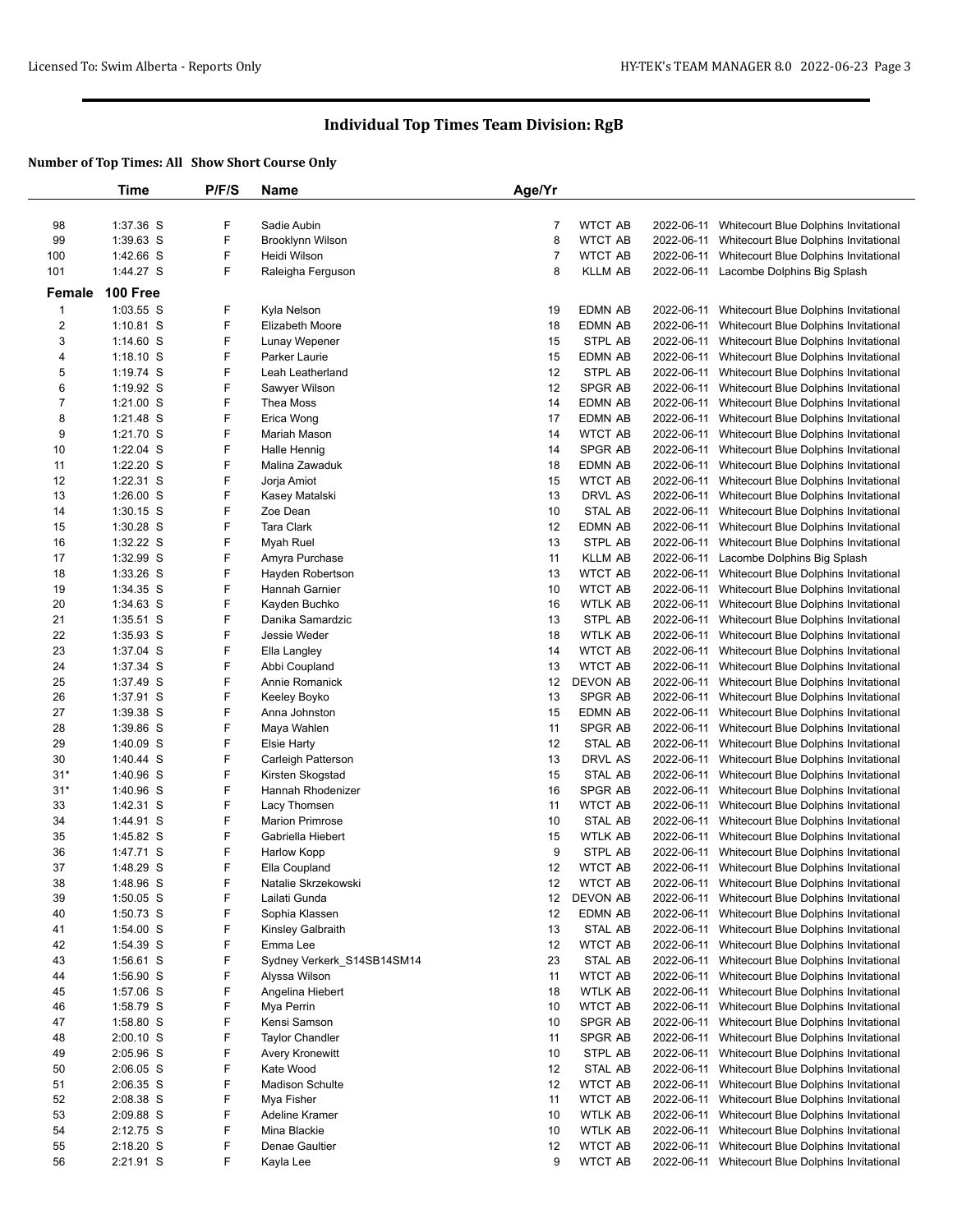|                | Time            | P/F/S | Name                       | Age/Yr         |                |            |                                                  |
|----------------|-----------------|-------|----------------------------|----------------|----------------|------------|--------------------------------------------------|
|                |                 |       |                            |                |                |            |                                                  |
| 98             | 1:37.36 S       | F     | Sadie Aubin                | 7              | WTCT AB        |            | 2022-06-11 Whitecourt Blue Dolphins Invitational |
| 99             | 1:39.63 S       | F     | Brooklynn Wilson           | 8              | <b>WTCT AB</b> |            | 2022-06-11 Whitecourt Blue Dolphins Invitational |
| 100            | 1:42.66 S       | F     | Heidi Wilson               | $\overline{7}$ | <b>WTCT AB</b> |            | 2022-06-11 Whitecourt Blue Dolphins Invitational |
| 101            | 1:44.27 S       | F     |                            | 8              |                |            |                                                  |
|                |                 |       | Raleigha Ferguson          |                | <b>KLLM AB</b> |            | 2022-06-11 Lacombe Dolphins Big Splash           |
| Female         | <b>100 Free</b> |       |                            |                |                |            |                                                  |
| $\mathbf 1$    | 1:03.55 S       | F     | Kyla Nelson                | 19             | EDMN AB        |            | 2022-06-11 Whitecourt Blue Dolphins Invitational |
| $\overline{2}$ | $1:10.81$ S     | F     | Elizabeth Moore            | 18             | <b>EDMN AB</b> | 2022-06-11 | Whitecourt Blue Dolphins Invitational            |
| 3              | $1:14.60$ S     | F     | Lunay Wepener              | 15             | STPL AB        |            | 2022-06-11 Whitecourt Blue Dolphins Invitational |
| 4              | $1:18.10$ S     | F     | Parker Laurie              | 15             | EDMN AB        |            | 2022-06-11 Whitecourt Blue Dolphins Invitational |
| 5              | 1:19.74 $S$     | F     | Leah Leatherland           | 12             | STPL AB        |            | 2022-06-11 Whitecourt Blue Dolphins Invitational |
| 6              | $1:19.92$ S     | F     | Sawyer Wilson              | 12             | SPGR AB        | 2022-06-11 | Whitecourt Blue Dolphins Invitational            |
| 7              | $1:21.00$ S     | F     | Thea Moss                  | 14             | EDMN AB        |            | 2022-06-11 Whitecourt Blue Dolphins Invitational |
|                |                 | F     |                            |                |                |            |                                                  |
| 8              | $1:21.48$ S     |       | Erica Wong                 | 17             | EDMN AB        |            | 2022-06-11 Whitecourt Blue Dolphins Invitational |
| 9              | 1:21.70 S       | F     | Mariah Mason               | 14             | <b>WTCT AB</b> | 2022-06-11 | Whitecourt Blue Dolphins Invitational            |
| 10             | $1:22.04$ S     | F     | Halle Hennig               | 14             | <b>SPGR AB</b> |            | 2022-06-11 Whitecourt Blue Dolphins Invitational |
| 11             | $1:22.20$ S     | F     | Malina Zawaduk             | 18             | EDMN AB        |            | 2022-06-11 Whitecourt Blue Dolphins Invitational |
| 12             | $1:22.31$ S     | F     | Jorja Amiot                | 15             | <b>WTCT AB</b> | 2022-06-11 | Whitecourt Blue Dolphins Invitational            |
| 13             | $1:26.00$ S     | F     | Kasey Matalski             | 13             | DRVL AS        | 2022-06-11 | Whitecourt Blue Dolphins Invitational            |
| 14             | $1:30.15$ S     | F     | Zoe Dean                   | 10             | STAL AB        |            | 2022-06-11 Whitecourt Blue Dolphins Invitational |
| 15             | $1:30.28$ S     | F     | Tara Clark                 | 12             | EDMN AB        | 2022-06-11 | Whitecourt Blue Dolphins Invitational            |
| 16             | 1:32.22 S       | F     | Myah Ruel                  | 13             | STPL AB        | 2022-06-11 | Whitecourt Blue Dolphins Invitational            |
| 17             | 1:32.99 S       | F     | Amyra Purchase             | 11             | <b>KLLM AB</b> | 2022-06-11 | Lacombe Dolphins Big Splash                      |
| 18             | $1:33.26$ S     | F     | Hayden Robertson           | 13             | <b>WTCT AB</b> |            | 2022-06-11 Whitecourt Blue Dolphins Invitational |
| 19             | 1:34.35 S       | F     | Hannah Garnier             | 10             | WTCT AB        | 2022-06-11 | Whitecourt Blue Dolphins Invitational            |
| 20             | $1:34.63$ S     | F     | Kayden Buchko              | 16             | WTLK AB        |            | 2022-06-11 Whitecourt Blue Dolphins Invitational |
| 21             | $1:35.51$ S     | F     | Danika Samardzic           | 13             | STPL AB        | 2022-06-11 | Whitecourt Blue Dolphins Invitational            |
| 22             | $1:35.93$ S     | F     | Jessie Weder               | 18             | WTLK AB        |            | 2022-06-11 Whitecourt Blue Dolphins Invitational |
|                |                 |       |                            |                |                |            |                                                  |
| 23             | 1:37.04 S       | F     | Ella Langley               | 14             | <b>WTCT AB</b> |            | 2022-06-11 Whitecourt Blue Dolphins Invitational |
| 24             | 1:37.34 S       | F     | Abbi Coupland              | 13             | <b>WTCT AB</b> | 2022-06-11 | Whitecourt Blue Dolphins Invitational            |
| 25             | 1:37.49 S       | F     | Annie Romanick             | 12             | DEVON AB       | 2022-06-11 | Whitecourt Blue Dolphins Invitational            |
| 26             | 1:37.91 S       | F     | Keeley Boyko               | 13             | <b>SPGR AB</b> |            | 2022-06-11 Whitecourt Blue Dolphins Invitational |
| 27             | 1:39.38 S       | F     | Anna Johnston              | 15             | EDMN AB        | 2022-06-11 | Whitecourt Blue Dolphins Invitational            |
| 28             | 1:39.86 S       | F     | Maya Wahlen                | 11             | SPGR AB        | 2022-06-11 | Whitecourt Blue Dolphins Invitational            |
| 29             | 1:40.09 S       | F     | <b>Elsie Harty</b>         | 12             | STAL AB        |            | 2022-06-11 Whitecourt Blue Dolphins Invitational |
| 30             | 1:40.44 S       | F     | Carleigh Patterson         | 13             | DRVL AS        | 2022-06-11 | Whitecourt Blue Dolphins Invitational            |
| $31*$          | 1:40.96 S       | F     | Kirsten Skogstad           | 15             | STAL AB        |            | 2022-06-11 Whitecourt Blue Dolphins Invitational |
| $31*$          | 1:40.96 S       | F     | Hannah Rhodenizer          | 16             | <b>SPGR AB</b> |            | 2022-06-11 Whitecourt Blue Dolphins Invitational |
| 33             | 1:42.31 S       | F     | Lacy Thomsen               | 11             | <b>WTCT AB</b> |            | 2022-06-11 Whitecourt Blue Dolphins Invitational |
| 34             | 1:44.91 S       | F     | <b>Marion Primrose</b>     | 10             | STAL AB        |            | 2022-06-11 Whitecourt Blue Dolphins Invitational |
| 35             | 1:45.82 S       | F     | Gabriella Hiebert          | 15             | WTLK AB        |            | 2022-06-11 Whitecourt Blue Dolphins Invitational |
| 36             | 1:47.71 S       | F     | Harlow Kopp                | 9              | STPL AB        |            | 2022-06-11 Whitecourt Blue Dolphins Invitational |
| 37             | 1:48.29 S       | F     | Ella Coupland              | 12             | <b>WTCT AB</b> |            | 2022-06-11 Whitecourt Blue Dolphins Invitational |
| 38             | 1:48.96 S       | F     | Natalie Skrzekowski        | 12             | WTCT AB        |            | 2022-06-11 Whitecourt Blue Dolphins Invitational |
| 39             | $1:50.05$ S     | F     | Lailati Gunda              | 12             | DEVON AB       |            | 2022-06-11 Whitecourt Blue Dolphins Invitational |
| 40             | $1:50.73$ S     | F     | Sophia Klassen             | 12             | EDMN AB        |            | 2022-06-11 Whitecourt Blue Dolphins Invitational |
|                |                 | F     |                            |                |                |            |                                                  |
| 41             | 1:54.00 S       |       | Kinsley Galbraith          | 13             | STAL AB        |            | 2022-06-11 Whitecourt Blue Dolphins Invitational |
| 42             | 1:54.39 S       | F     | Emma Lee                   | 12             | WTCT AB        |            | 2022-06-11 Whitecourt Blue Dolphins Invitational |
| 43             | 1:56.61 S       | F     | Sydney Verkerk_S14SB14SM14 | 23             | STAL AB        |            | 2022-06-11 Whitecourt Blue Dolphins Invitational |
| 44             | 1:56.90 S       | F     | Alyssa Wilson              | 11             | WTCT AB        |            | 2022-06-11 Whitecourt Blue Dolphins Invitational |
| 45             | 1:57.06 S       | F     | Angelina Hiebert           | 18             | WTLK AB        |            | 2022-06-11 Whitecourt Blue Dolphins Invitational |
| 46             | 1:58.79 S       | F     | Mya Perrin                 | 10             | <b>WTCT AB</b> |            | 2022-06-11 Whitecourt Blue Dolphins Invitational |
| 47             | 1:58.80 S       | F     | Kensi Samson               | 10             | <b>SPGR AB</b> |            | 2022-06-11 Whitecourt Blue Dolphins Invitational |
| 48             | $2:00.10$ S     | F     | <b>Taylor Chandler</b>     | 11             | SPGR AB        |            | 2022-06-11 Whitecourt Blue Dolphins Invitational |
| 49             | 2:05.96 S       | F     | Avery Kronewitt            | 10             | STPL AB        |            | 2022-06-11 Whitecourt Blue Dolphins Invitational |
| 50             | $2:06.05$ S     | F     | Kate Wood                  | 12             | STAL AB        |            | 2022-06-11 Whitecourt Blue Dolphins Invitational |
| 51             | $2:06.35$ S     | F     | <b>Madison Schulte</b>     | 12             | WTCT AB        |            | 2022-06-11 Whitecourt Blue Dolphins Invitational |
| 52             | 2:08.38 S       | F     | Mya Fisher                 | 11             | WTCT AB        |            | 2022-06-11 Whitecourt Blue Dolphins Invitational |
| 53             | 2:09.88 S       | F     | Adeline Kramer             | 10             | <b>WTLK AB</b> |            | 2022-06-11 Whitecourt Blue Dolphins Invitational |
| 54             | 2:12.75 S       | F     | Mina Blackie               | 10             | WTLK AB        |            | 2022-06-11 Whitecourt Blue Dolphins Invitational |
| 55             | $2:18.20$ S     | F     | Denae Gaultier             | 12             | WTCT AB        |            | 2022-06-11 Whitecourt Blue Dolphins Invitational |
| 56             |                 | F     |                            | 9              | <b>WTCT AB</b> |            | 2022-06-11 Whitecourt Blue Dolphins Invitational |
|                | 2:21.91 S       |       | Kayla Lee                  |                |                |            |                                                  |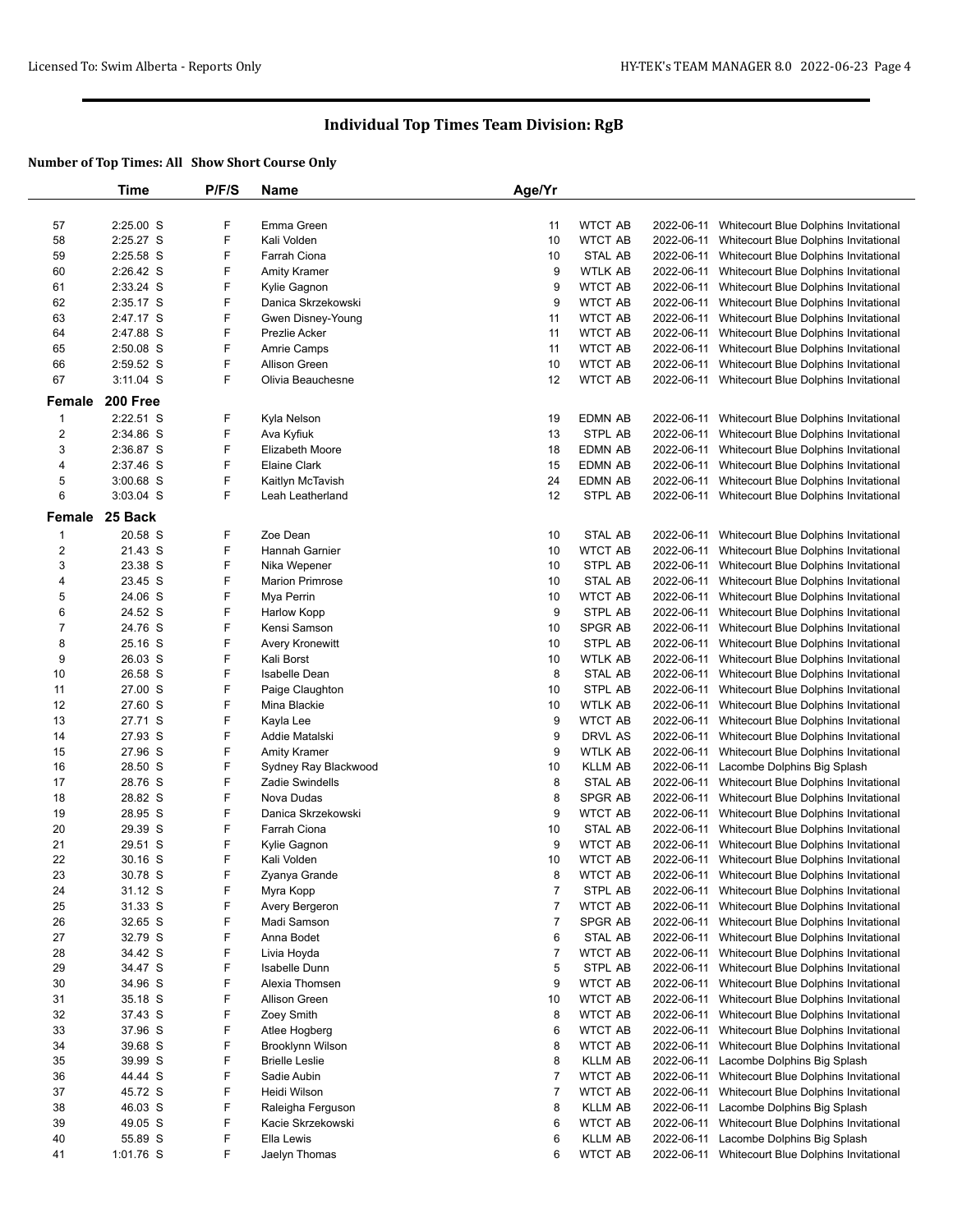|                         | Time           | P/F/S | <b>Name</b>            | Age/Yr         |                |            |                                       |
|-------------------------|----------------|-------|------------------------|----------------|----------------|------------|---------------------------------------|
|                         |                |       |                        |                |                |            |                                       |
| 57                      | 2:25.00 S      | F     | Emma Green             | 11             | <b>WTCT AB</b> | 2022-06-11 | Whitecourt Blue Dolphins Invitational |
| 58                      | 2:25.27 S      | F     | Kali Volden            | 10             | <b>WTCT AB</b> | 2022-06-11 | Whitecourt Blue Dolphins Invitational |
| 59                      | $2:25.58$ S    | F     | Farrah Ciona           | 10             | <b>STAL AB</b> | 2022-06-11 | Whitecourt Blue Dolphins Invitational |
| 60                      | 2:26.42 S      | F     | <b>Amity Kramer</b>    | 9              | <b>WTLK AB</b> | 2022-06-11 | Whitecourt Blue Dolphins Invitational |
| 61                      | 2:33.24 S      | F     | Kylie Gagnon           | 9              | <b>WTCT AB</b> | 2022-06-11 | Whitecourt Blue Dolphins Invitational |
|                         |                |       |                        |                | <b>WTCT AB</b> |            |                                       |
| 62                      | 2:35.17 S      | F     | Danica Skrzekowski     | 9              |                | 2022-06-11 | Whitecourt Blue Dolphins Invitational |
| 63                      | 2:47.17 S      | F     | Gwen Disney-Young      | 11             | <b>WTCT AB</b> | 2022-06-11 | Whitecourt Blue Dolphins Invitational |
| 64                      | 2:47.88 S      | F     | Prezlie Acker          | 11             | <b>WTCT AB</b> | 2022-06-11 | Whitecourt Blue Dolphins Invitational |
| 65                      | 2:50.08 S      | F     | Amrie Camps            | 11             | <b>WTCT AB</b> | 2022-06-11 | Whitecourt Blue Dolphins Invitational |
| 66                      | 2:59.52 S      | F     | Allison Green          | 10             | <b>WTCT AB</b> | 2022-06-11 | Whitecourt Blue Dolphins Invitational |
| 67                      | $3:11.04$ S    | F     | Olivia Beauchesne      | 12             | <b>WTCT AB</b> | 2022-06-11 | Whitecourt Blue Dolphins Invitational |
| Female                  | 200 Free       |       |                        |                |                |            |                                       |
|                         | $2:22.51$ S    | F     |                        |                |                |            |                                       |
| 1                       |                |       | Kyla Nelson            | 19             | EDMN AB        | 2022-06-11 | Whitecourt Blue Dolphins Invitational |
| $\overline{c}$          | 2:34.86 S      | F     | Ava Kyfiuk             | 13             | STPL AB        | 2022-06-11 | Whitecourt Blue Dolphins Invitational |
| 3                       | 2:36.87 S      | F     | Elizabeth Moore        | 18             | EDMN AB        | 2022-06-11 | Whitecourt Blue Dolphins Invitational |
| 4                       | 2:37.46 S      | F     | Elaine Clark           | 15             | EDMN AB        | 2022-06-11 | Whitecourt Blue Dolphins Invitational |
| 5                       | 3:00.68 S      | F     | Kaitlyn McTavish       | 24             | <b>EDMN AB</b> | 2022-06-11 | Whitecourt Blue Dolphins Invitational |
| 6                       | 3:03.04 S      | F     | Leah Leatherland       | 12             | STPL AB        | 2022-06-11 | Whitecourt Blue Dolphins Invitational |
|                         | Female 25 Back |       |                        |                |                |            |                                       |
|                         |                |       |                        |                |                |            |                                       |
| -1                      | 20.58 S        | F     | Zoe Dean               | 10             | STAL AB        | 2022-06-11 | Whitecourt Blue Dolphins Invitational |
| $\overline{\mathbf{c}}$ | 21.43 S        | F     | Hannah Garnier         | 10             | <b>WTCT AB</b> | 2022-06-11 | Whitecourt Blue Dolphins Invitational |
| 3                       | 23.38 S        | F     | Nika Wepener           | 10             | STPL AB        | 2022-06-11 | Whitecourt Blue Dolphins Invitational |
| 4                       | 23.45 S        | F     | <b>Marion Primrose</b> | 10             | STAL AB        | 2022-06-11 | Whitecourt Blue Dolphins Invitational |
| 5                       | 24.06 S        | F     | Mya Perrin             | 10             | <b>WTCT AB</b> | 2022-06-11 | Whitecourt Blue Dolphins Invitational |
| 6                       | 24.52 S        | F     | Harlow Kopp            | 9              | STPL AB        | 2022-06-11 | Whitecourt Blue Dolphins Invitational |
| 7                       | 24.76 S        | F     | Kensi Samson           | 10             | SPGR AB        | 2022-06-11 | Whitecourt Blue Dolphins Invitational |
| 8                       | 25.16 S        | F     | Avery Kronewitt        | 10             | STPL AB        | 2022-06-11 | Whitecourt Blue Dolphins Invitational |
| 9                       | 26.03 S        | F     | Kali Borst             | 10             | <b>WTLK AB</b> | 2022-06-11 | Whitecourt Blue Dolphins Invitational |
| 10                      | 26.58 S        | F     | <b>Isabelle Dean</b>   | 8              | STAL AB        | 2022-06-11 | Whitecourt Blue Dolphins Invitational |
| 11                      | 27.00 S        | F     | Paige Claughton        | 10             | STPL AB        | 2022-06-11 | Whitecourt Blue Dolphins Invitational |
| 12                      | 27.60 S        | F     | Mina Blackie           | 10             | WTLK AB        | 2022-06-11 | Whitecourt Blue Dolphins Invitational |
|                         |                | F     |                        |                |                |            |                                       |
| 13                      | 27.71 S        |       | Kayla Lee              | 9              | <b>WTCT AB</b> | 2022-06-11 | Whitecourt Blue Dolphins Invitational |
| 14                      | 27.93 S        | F     | Addie Matalski         | 9              | DRVL AS        | 2022-06-11 | Whitecourt Blue Dolphins Invitational |
| 15                      | 27.96 S        | F     | <b>Amity Kramer</b>    | 9              | <b>WTLK AB</b> | 2022-06-11 | Whitecourt Blue Dolphins Invitational |
| 16                      | 28.50 S        | F     | Sydney Ray Blackwood   | 10             | <b>KLLM AB</b> | 2022-06-11 | Lacombe Dolphins Big Splash           |
| 17                      | 28.76 S        | F     | Zadie Swindells        | 8              | STAL AB        | 2022-06-11 | Whitecourt Blue Dolphins Invitational |
| 18                      | 28.82 S        | F     | Nova Dudas             | 8              | SPGR AB        | 2022-06-11 | Whitecourt Blue Dolphins Invitational |
| 19                      | 28.95 S        | F     | Danica Skrzekowski     | 9              | <b>WTCT AB</b> | 2022-06-11 | Whitecourt Blue Dolphins Invitational |
| 20                      | 29.39 S        | F     | Farrah Ciona           | 10             | STAL AB        | 2022-06-11 | Whitecourt Blue Dolphins Invitational |
| 21                      | 29.51 S        | F     | Kylie Gagnon           | 9              | <b>WTCT AB</b> | 2022-06-11 | Whitecourt Blue Dolphins Invitational |
| 22                      | 30.16 S        | F     | Kali Volden            | 10             | <b>WTCT AB</b> | 2022-06-11 | Whitecourt Blue Dolphins Invitational |
| 23                      | 30.78 S        | F     | Zyanya Grande          | 8              | <b>WTCT AB</b> | 2022-06-11 | Whitecourt Blue Dolphins Invitational |
| 24                      | 31.12 S        | F     | Myra Kopp              | $\overline{7}$ | STPL AB        | 2022-06-11 | Whitecourt Blue Dolphins Invitational |
| 25                      | 31.33 S        | F     | Avery Bergeron         | $\overline{7}$ | <b>WTCT AB</b> | 2022-06-11 | Whitecourt Blue Dolphins Invitational |
| 26                      | 32.65 S        | F     | Madi Samson            | $\overline{7}$ | SPGR AB        | 2022-06-11 | Whitecourt Blue Dolphins Invitational |
|                         |                |       |                        |                |                |            |                                       |
| 27                      | 32.79 S        | F     | Anna Bodet             | 6              | STAL AB        | 2022-06-11 | Whitecourt Blue Dolphins Invitational |
| 28                      | 34.42 S        | F     | Livia Hoyda            | $\overline{7}$ | <b>WTCT AB</b> | 2022-06-11 | Whitecourt Blue Dolphins Invitational |
| 29                      | 34.47 S        | F     | Isabelle Dunn          | 5              | STPL AB        | 2022-06-11 | Whitecourt Blue Dolphins Invitational |
| 30                      | 34.96 S        | F     | Alexia Thomsen         | 9              | <b>WTCT AB</b> | 2022-06-11 | Whitecourt Blue Dolphins Invitational |
| 31                      | 35.18 S        | F     | Allison Green          | 10             | <b>WTCT AB</b> | 2022-06-11 | Whitecourt Blue Dolphins Invitational |
| 32                      | 37.43 S        | F     | Zoey Smith             | 8              | <b>WTCT AB</b> | 2022-06-11 | Whitecourt Blue Dolphins Invitational |
| 33                      | 37.96 S        | F     | Atlee Hogberg          | 6              | <b>WTCT AB</b> | 2022-06-11 | Whitecourt Blue Dolphins Invitational |
| 34                      | 39.68 S        | F     | Brooklynn Wilson       | 8              | <b>WTCT AB</b> | 2022-06-11 | Whitecourt Blue Dolphins Invitational |
| 35                      | 39.99 S        | F     | <b>Brielle Leslie</b>  | 8              | <b>KLLM AB</b> | 2022-06-11 | Lacombe Dolphins Big Splash           |
| 36                      | 44.44 S        | F     | Sadie Aubin            | $\overline{7}$ | <b>WTCT AB</b> | 2022-06-11 | Whitecourt Blue Dolphins Invitational |
| 37                      | 45.72 S        | F     | Heidi Wilson           | $\overline{7}$ | <b>WTCT AB</b> | 2022-06-11 | Whitecourt Blue Dolphins Invitational |
| 38                      | 46.03 S        | F     |                        | 8              | <b>KLLM AB</b> |            |                                       |
|                         |                |       | Raleigha Ferguson      |                |                | 2022-06-11 | Lacombe Dolphins Big Splash           |
| 39                      | 49.05 S        | F     | Kacie Skrzekowski      | 6              | <b>WTCT AB</b> | 2022-06-11 | Whitecourt Blue Dolphins Invitational |
| 40                      | 55.89 S        | F     | Ella Lewis             | 6              | <b>KLLM AB</b> | 2022-06-11 | Lacombe Dolphins Big Splash           |
| 41                      | 1:01.76 S      | F     | Jaelyn Thomas          | 6              | <b>WTCT AB</b> | 2022-06-11 | Whitecourt Blue Dolphins Invitational |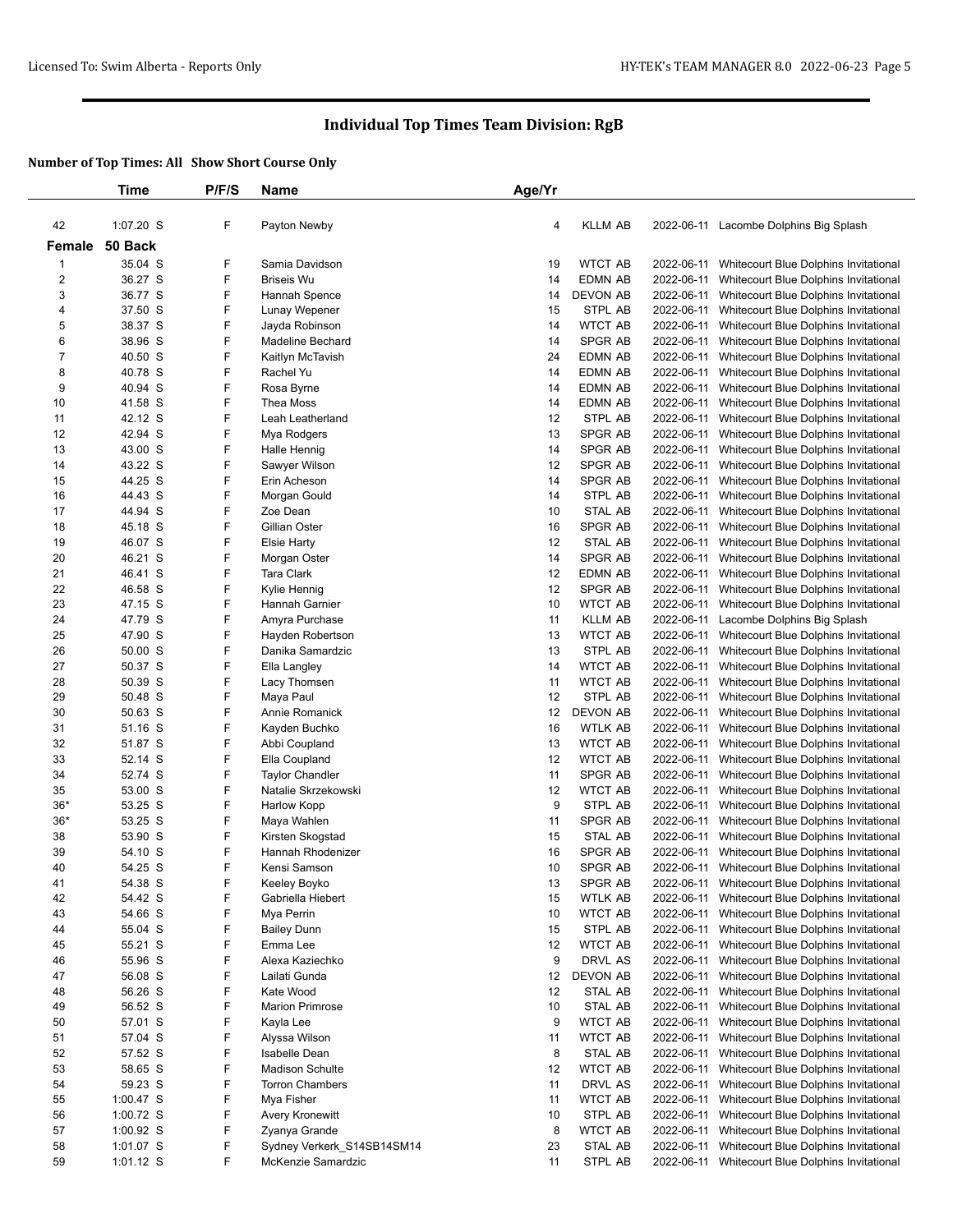|                         | Time               | P/F/S  | Name                                  | Age/Yr   |                    |            |                                                                                |
|-------------------------|--------------------|--------|---------------------------------------|----------|--------------------|------------|--------------------------------------------------------------------------------|
|                         |                    |        |                                       |          |                    |            |                                                                                |
| 42                      | 1:07.20 S          | F      | Payton Newby                          | 4        | <b>KLLM AB</b>     |            | 2022-06-11 Lacombe Dolphins Big Splash                                         |
| Female                  | 50 Back            |        |                                       |          |                    |            |                                                                                |
| 1                       | 35.04 S            | F      | Samia Davidson                        | 19       | <b>WTCT AB</b>     |            | 2022-06-11 Whitecourt Blue Dolphins Invitational                               |
| $\overline{\mathbf{c}}$ | 36.27 S            | F      | <b>Briseis Wu</b>                     | 14       | EDMN AB            | 2022-06-11 | Whitecourt Blue Dolphins Invitational                                          |
| 3                       | 36.77 S            | F      | Hannah Spence                         | 14       | <b>DEVON AB</b>    | 2022-06-11 | Whitecourt Blue Dolphins Invitational                                          |
| 4                       | 37.50 S            | F      | Lunay Wepener                         | 15       | STPL AB            | 2022-06-11 | Whitecourt Blue Dolphins Invitational                                          |
| 5                       | 38.37 S            | F      | Jayda Robinson                        | 14       | <b>WTCT AB</b>     | 2022-06-11 | Whitecourt Blue Dolphins Invitational                                          |
| 6                       | 38.96 S            | F      | Madeline Bechard                      | 14       | <b>SPGR AB</b>     | 2022-06-11 | Whitecourt Blue Dolphins Invitational                                          |
| 7                       | 40.50 S            | F      | Kaitlyn McTavish                      | 24       | <b>EDMN AB</b>     | 2022-06-11 | Whitecourt Blue Dolphins Invitational                                          |
| 8                       | 40.78 S            | F      | Rachel Yu                             | 14       | EDMN AB            | 2022-06-11 | Whitecourt Blue Dolphins Invitational                                          |
| 9                       | 40.94 S            | F      | Rosa Byrne                            | 14       | <b>EDMN AB</b>     | 2022-06-11 | Whitecourt Blue Dolphins Invitational                                          |
| 10                      | 41.58 S            | F      | Thea Moss                             | 14       | EDMN AB            | 2022-06-11 | Whitecourt Blue Dolphins Invitational                                          |
| 11                      | 42.12 S            | F      | Leah Leatherland                      | 12       | STPL AB            | 2022-06-11 | Whitecourt Blue Dolphins Invitational                                          |
| 12                      | 42.94 S            | F      | Mya Rodgers                           | 13       | SPGR AB            | 2022-06-11 | Whitecourt Blue Dolphins Invitational                                          |
| 13                      | 43.00 S            | F      | Halle Hennig                          | 14       | <b>SPGR AB</b>     | 2022-06-11 | Whitecourt Blue Dolphins Invitational                                          |
| 14                      | 43.22 S            | F      | Sawyer Wilson                         | 12       | SPGR AB            | 2022-06-11 | Whitecourt Blue Dolphins Invitational                                          |
| 15                      | 44.25 S            | F      | Erin Acheson                          | 14       | SPGR AB            | 2022-06-11 | Whitecourt Blue Dolphins Invitational                                          |
| 16                      | 44.43 S            | F      | Morgan Gould                          | 14       | STPL AB            | 2022-06-11 | Whitecourt Blue Dolphins Invitational                                          |
| 17                      | 44.94 S            | F      | Zoe Dean                              | 10       | STAL AB            | 2022-06-11 | Whitecourt Blue Dolphins Invitational                                          |
| 18                      | 45.18 S            | F      | Gillian Oster                         | 16       | SPGR AB            | 2022-06-11 | Whitecourt Blue Dolphins Invitational                                          |
| 19                      | 46.07 S            | F      | <b>Elsie Harty</b>                    | 12       | <b>STAL AB</b>     | 2022-06-11 | Whitecourt Blue Dolphins Invitational                                          |
| 20                      | 46.21 S            | F      | Morgan Oster                          | 14       | SPGR AB            | 2022-06-11 | Whitecourt Blue Dolphins Invitational                                          |
| 21                      | 46.41 S            | F      | Tara Clark                            | 12       | EDMN AB            | 2022-06-11 | Whitecourt Blue Dolphins Invitational                                          |
| 22                      | 46.58 S            | F      | Kylie Hennig                          | 12       | <b>SPGR AB</b>     | 2022-06-11 | Whitecourt Blue Dolphins Invitational                                          |
| 23                      | 47.15 S            | F      | Hannah Garnier                        | 10       | <b>WTCT AB</b>     | 2022-06-11 | Whitecourt Blue Dolphins Invitational                                          |
| 24                      | 47.79 S            | F      | Amyra Purchase                        | 11       | <b>KLLM AB</b>     | 2022-06-11 | Lacombe Dolphins Big Splash                                                    |
| 25                      | 47.90 S            | F      | Hayden Robertson                      | 13       | <b>WTCT AB</b>     | 2022-06-11 | Whitecourt Blue Dolphins Invitational                                          |
| 26                      | 50.00 S            | F      | Danika Samardzic                      | 13       | STPL AB            | 2022-06-11 | Whitecourt Blue Dolphins Invitational                                          |
| 27                      | 50.37 S            | F      | Ella Langley                          | 14       | <b>WTCT AB</b>     | 2022-06-11 | Whitecourt Blue Dolphins Invitational                                          |
| 28                      | 50.39 S            | F      | Lacy Thomsen                          | 11       | <b>WTCT AB</b>     | 2022-06-11 | Whitecourt Blue Dolphins Invitational                                          |
| 29                      | 50.48 S            | F      | Maya Paul                             | 12       | STPL AB            | 2022-06-11 | Whitecourt Blue Dolphins Invitational                                          |
| 30                      | 50.63 S            | F      | Annie Romanick                        | 12       | DEVON AB           | 2022-06-11 | Whitecourt Blue Dolphins Invitational                                          |
| 31                      | 51.16 S            | F      | Kayden Buchko                         | 16       | WTLK AB            | 2022-06-11 | Whitecourt Blue Dolphins Invitational                                          |
| 32                      | 51.87 S            | F      | Abbi Coupland                         | 13       | <b>WTCT AB</b>     | 2022-06-11 | Whitecourt Blue Dolphins Invitational                                          |
| 33                      | 52.14 S            | F      | Ella Coupland                         | 12       | <b>WTCT AB</b>     | 2022-06-11 | Whitecourt Blue Dolphins Invitational                                          |
| 34                      | 52.74 S            | F      | <b>Taylor Chandler</b>                | 11       | SPGR AB            | 2022-06-11 | Whitecourt Blue Dolphins Invitational                                          |
| 35                      | 53.00 S            | F      | Natalie Skrzekowski                   | 12       | <b>WTCT AB</b>     | 2022-06-11 | Whitecourt Blue Dolphins Invitational                                          |
| $36*$                   | 53.25 S            | F      | Harlow Kopp                           | 9        | STPL AB            | 2022-06-11 | Whitecourt Blue Dolphins Invitational                                          |
| $36*$<br>38             | 53.25 S<br>53.90 S | F<br>F | Maya Wahlen                           | 11<br>15 | SPGR AB            | 2022-06-11 | Whitecourt Blue Dolphins Invitational                                          |
| 39                      | 54.10 S            | F      | Kirsten Skogstad<br>Hannah Rhodenizer | 16       | STAL AB<br>SPGR AB | 2022-06-11 | Whitecourt Blue Dolphins Invitational<br>Whitecourt Blue Dolphins Invitational |
| 40                      | 54.25 S            | F      | Kensi Samson                          | 10       | SPGR AB            | 2022-06-11 | 2022-06-11 Whitecourt Blue Dolphins Invitational                               |
| 41                      | 54.38 S            |        | Keeley Boyko                          | 13       | SPGR AB            |            | 2022-06-11 Whitecourt Blue Dolphins Invitational                               |
| 42                      | 54.42 S            | F      | Gabriella Hiebert                     | 15       | WTLK AB            |            | 2022-06-11 Whitecourt Blue Dolphins Invitational                               |
| 43                      | 54.66 S            | F      | Mya Perrin                            | 10       | <b>WTCT AB</b>     |            | 2022-06-11 Whitecourt Blue Dolphins Invitational                               |
| 44                      | 55.04 S            | F      | <b>Bailey Dunn</b>                    | 15       | STPL AB            | 2022-06-11 | Whitecourt Blue Dolphins Invitational                                          |
| 45                      | 55.21 S            | F      | Emma Lee                              | 12       | <b>WTCT AB</b>     | 2022-06-11 | Whitecourt Blue Dolphins Invitational                                          |
| 46                      | 55.96 S            | F      | Alexa Kaziechko                       | 9        | DRVL AS            | 2022-06-11 | Whitecourt Blue Dolphins Invitational                                          |
| 47                      | 56.08 S            | F      | Lailati Gunda                         | 12       | DEVON AB           | 2022-06-11 | Whitecourt Blue Dolphins Invitational                                          |
| 48                      | 56.26 S            | F      | Kate Wood                             | 12       | STAL AB            | 2022-06-11 | Whitecourt Blue Dolphins Invitational                                          |
| 49                      | 56.52 S            | F      | <b>Marion Primrose</b>                | 10       | STAL AB            | 2022-06-11 | Whitecourt Blue Dolphins Invitational                                          |
| 50                      | 57.01 S            | F      | Kayla Lee                             | 9        | <b>WTCT AB</b>     | 2022-06-11 | Whitecourt Blue Dolphins Invitational                                          |
| 51                      | 57.04 S            | F      | Alyssa Wilson                         | 11       | <b>WTCT AB</b>     | 2022-06-11 | Whitecourt Blue Dolphins Invitational                                          |
| 52                      | 57.52 S            | F      | Isabelle Dean                         | 8        | STAL AB            | 2022-06-11 | Whitecourt Blue Dolphins Invitational                                          |
| 53                      | 58.65 S            | F      | <b>Madison Schulte</b>                | 12       | <b>WTCT AB</b>     | 2022-06-11 | Whitecourt Blue Dolphins Invitational                                          |
| 54                      | 59.23 S            | F      | <b>Torron Chambers</b>                | 11       | DRVL AS            | 2022-06-11 | Whitecourt Blue Dolphins Invitational                                          |
| 55                      | $1:00.47$ S        | F      | Mya Fisher                            | 11       | <b>WTCT AB</b>     | 2022-06-11 | Whitecourt Blue Dolphins Invitational                                          |
| 56                      | $1:00.72$ S        | F      | Avery Kronewitt                       | 10       | STPL AB            | 2022-06-11 | Whitecourt Blue Dolphins Invitational                                          |
| 57                      | $1:00.92$ S        | F      | Zyanya Grande                         | 8        | <b>WTCT AB</b>     | 2022-06-11 | Whitecourt Blue Dolphins Invitational                                          |
| 58                      | 1:01.07 S          | F      | Sydney Verkerk_S14SB14SM14            | 23       | STAL AB            | 2022-06-11 | Whitecourt Blue Dolphins Invitational                                          |
| 59                      | $1:01.12$ S        | F      | McKenzie Samardzic                    | 11       | STPL AB            |            | 2022-06-11 Whitecourt Blue Dolphins Invitational                               |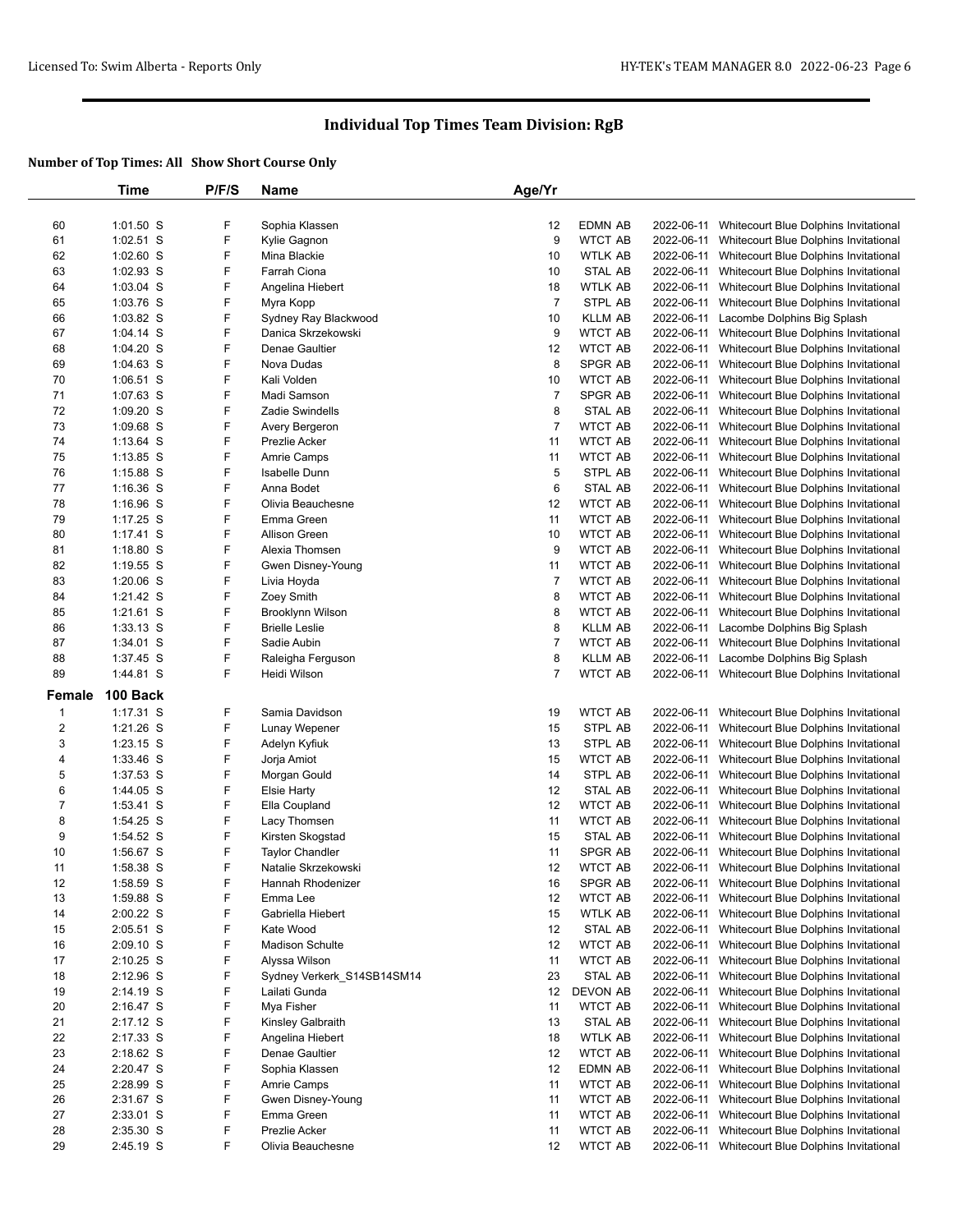|                | Time        | P/F/S | Name                       | Age/Yr         |                 |            |                                                  |
|----------------|-------------|-------|----------------------------|----------------|-----------------|------------|--------------------------------------------------|
|                |             |       |                            |                |                 |            |                                                  |
| 60             | $1:01.50$ S | F     | Sophia Klassen             | 12             | EDMN AB         |            | 2022-06-11 Whitecourt Blue Dolphins Invitational |
| 61             | $1:02.51$ S | F     | Kylie Gagnon               | 9              | <b>WTCT AB</b>  | 2022-06-11 | Whitecourt Blue Dolphins Invitational            |
| 62             | $1:02.60$ S | F     | Mina Blackie               | 10             | <b>WTLK AB</b>  | 2022-06-11 | Whitecourt Blue Dolphins Invitational            |
| 63             | $1:02.93$ S | F     | Farrah Ciona               | 10             | STAL AB         | 2022-06-11 | Whitecourt Blue Dolphins Invitational            |
| 64             | 1:03.04 S   | F     | Angelina Hiebert           | 18             | WTLK AB         | 2022-06-11 | Whitecourt Blue Dolphins Invitational            |
| 65             | 1:03.76 S   | F     | Myra Kopp                  | $\overline{7}$ | STPL AB         | 2022-06-11 | Whitecourt Blue Dolphins Invitational            |
| 66             | $1:03.82$ S | F     | Sydney Ray Blackwood       | 10             | <b>KLLM AB</b>  | 2022-06-11 | Lacombe Dolphins Big Splash                      |
| 67             |             | F     | Danica Skrzekowski         | 9              | <b>WTCT AB</b>  |            |                                                  |
|                | $1:04.14$ S | F     |                            |                | <b>WTCT AB</b>  | 2022-06-11 | Whitecourt Blue Dolphins Invitational            |
| 68             | $1:04.20$ S |       | Denae Gaultier             | 12             |                 | 2022-06-11 | Whitecourt Blue Dolphins Invitational            |
| 69             | $1:04.63$ S | F     | Nova Dudas                 | 8              | SPGR AB         | 2022-06-11 | Whitecourt Blue Dolphins Invitational            |
| 70             | 1:06.51 S   | F     | Kali Volden                | 10             | <b>WTCT AB</b>  | 2022-06-11 | Whitecourt Blue Dolphins Invitational            |
| 71             | 1:07.63 S   | F     | Madi Samson                | $\overline{7}$ | <b>SPGR AB</b>  | 2022-06-11 | Whitecourt Blue Dolphins Invitational            |
| 72             | $1:09.20$ S | F     | <b>Zadie Swindells</b>     | 8              | STAL AB         | 2022-06-11 | Whitecourt Blue Dolphins Invitational            |
| 73             | $1:09.68$ S | F     | Avery Bergeron             | $\overline{7}$ | <b>WTCT AB</b>  | 2022-06-11 | Whitecourt Blue Dolphins Invitational            |
| 74             | $1:13.64$ S | F     | Prezlie Acker              | 11             | <b>WTCT AB</b>  | 2022-06-11 | Whitecourt Blue Dolphins Invitational            |
| 75             | $1:13.85$ S | F     | <b>Amrie Camps</b>         | 11             | <b>WTCT AB</b>  | 2022-06-11 | Whitecourt Blue Dolphins Invitational            |
| 76             | $1:15.88$ S | F     | Isabelle Dunn              | 5              | STPL AB         | 2022-06-11 | Whitecourt Blue Dolphins Invitational            |
| 77             | $1:16.36$ S | F     | Anna Bodet                 | 6              | STAL AB         | 2022-06-11 | Whitecourt Blue Dolphins Invitational            |
| 78             | $1:16.96$ S | F     | Olivia Beauchesne          | 12             | <b>WTCT AB</b>  | 2022-06-11 | Whitecourt Blue Dolphins Invitational            |
| 79             | $1:17.25$ S | F     | Emma Green                 | 11             | <b>WTCT AB</b>  | 2022-06-11 | Whitecourt Blue Dolphins Invitational            |
| 80             | $1:17.41$ S | F     | Allison Green              | 10             | <b>WTCT AB</b>  | 2022-06-11 | Whitecourt Blue Dolphins Invitational            |
| 81             | $1:18.80$ S | F     | Alexia Thomsen             | 9              | <b>WTCT AB</b>  | 2022-06-11 | Whitecourt Blue Dolphins Invitational            |
| 82             | $1:19.55$ S | F     | Gwen Disney-Young          | 11             | <b>WTCT AB</b>  | 2022-06-11 | Whitecourt Blue Dolphins Invitational            |
| 83             | $1:20.06$ S | F     | Livia Hoyda                | $\overline{7}$ | <b>WTCT AB</b>  |            | 2022-06-11 Whitecourt Blue Dolphins Invitational |
| 84             | 1:21.42 S   | F     | Zoey Smith                 | 8              | <b>WTCT AB</b>  | 2022-06-11 | Whitecourt Blue Dolphins Invitational            |
| 85             | $1:21.61$ S | F     | Brooklynn Wilson           | 8              | <b>WTCT AB</b>  | 2022-06-11 | Whitecourt Blue Dolphins Invitational            |
| 86             | $1:33.13$ S | F     | <b>Brielle Leslie</b>      | 8              | <b>KLLM AB</b>  | 2022-06-11 | Lacombe Dolphins Big Splash                      |
| 87             | $1:34.01$ S | F     | Sadie Aubin                | $\overline{7}$ | <b>WTCT AB</b>  | 2022-06-11 | Whitecourt Blue Dolphins Invitational            |
|                |             |       |                            |                |                 |            |                                                  |
| 88             | 1:37.45 S   | F     | Raleigha Ferguson          | 8              | <b>KLLM AB</b>  | 2022-06-11 | Lacombe Dolphins Big Splash                      |
| 89             | 1:44.81 S   | F     | Heidi Wilson               | 7              | <b>WTCT AB</b>  |            | 2022-06-11 Whitecourt Blue Dolphins Invitational |
| Female         | 100 Back    |       |                            |                |                 |            |                                                  |
| $\mathbf{1}$   | $1:17.31$ S | F     | Samia Davidson             | 19             | <b>WTCT AB</b>  | 2022-06-11 | Whitecourt Blue Dolphins Invitational            |
| $\overline{2}$ | $1:21.26$ S | F     | Lunay Wepener              | 15             | STPL AB         | 2022-06-11 | Whitecourt Blue Dolphins Invitational            |
| 3              | $1:23.15$ S | F     | Adelyn Kyfiuk              | 13             | STPL AB         | 2022-06-11 | Whitecourt Blue Dolphins Invitational            |
| 4              | $1:33.46$ S | F     | Jorja Amiot                | 15             | <b>WTCT AB</b>  | 2022-06-11 | Whitecourt Blue Dolphins Invitational            |
| 5              | $1:37.53$ S | F     | Morgan Gould               | 14             | STPL AB         | 2022-06-11 | Whitecourt Blue Dolphins Invitational            |
| 6              | 1:44.05 S   | F     | <b>Elsie Harty</b>         | 12             | <b>STAL AB</b>  | 2022-06-11 | Whitecourt Blue Dolphins Invitational            |
| 7              | 1:53.41 S   | F     | Ella Coupland              | 12             | <b>WTCT AB</b>  |            | 2022-06-11 Whitecourt Blue Dolphins Invitational |
| 8              | 1:54.25 S   | F     | Lacy Thomsen               | 11             | <b>WTCT AB</b>  | 2022-06-11 | Whitecourt Blue Dolphins Invitational            |
| 9              | 1:54.52 S   | F     | Kirsten Skogstad           | 15             | STAL AB         | 2022-06-11 | Whitecourt Blue Dolphins Invitational            |
| 10             | 1:56.67 S   | F     | <b>Taylor Chandler</b>     | 11             | <b>SPGR AB</b>  |            | 2022-06-11 Whitecourt Blue Dolphins Invitational |
| 11             | 1:58.38 S   | F     | Natalie Skrzekowski        | 12             | <b>WTCT AB</b>  |            | 2022-06-11 Whitecourt Blue Dolphins Invitational |
| 12             | 1:58.59 S   | F     | Hannah Rhodenizer          | 16             | SPGR AB         |            | 2022-06-11 Whitecourt Blue Dolphins Invitational |
|                |             | F     |                            |                |                 |            |                                                  |
| 13             | 1:59.88 S   |       | Emma Lee                   | 12             | <b>WTCT AB</b>  |            | 2022-06-11 Whitecourt Blue Dolphins Invitational |
| 14             | 2:00.22 S   | F     | Gabriella Hiebert          | 15             | <b>WTLK AB</b>  |            | 2022-06-11 Whitecourt Blue Dolphins Invitational |
| 15             | $2:05.51$ S | F     | Kate Wood                  | 12             | STAL AB         | 2022-06-11 | Whitecourt Blue Dolphins Invitational            |
| 16             | $2:09.10$ S | F     | <b>Madison Schulte</b>     | 12             | <b>WTCT AB</b>  |            | 2022-06-11 Whitecourt Blue Dolphins Invitational |
| 17             | $2:10.25$ S | F     | Alyssa Wilson              | 11             | <b>WTCT AB</b>  | 2022-06-11 | Whitecourt Blue Dolphins Invitational            |
| 18             | 2:12.96 S   | F     | Sydney Verkerk S14SB14SM14 | 23             | STAL AB         | 2022-06-11 | Whitecourt Blue Dolphins Invitational            |
| 19             | 2:14.19 S   | F     | Lailati Gunda              | 12             | <b>DEVON AB</b> | 2022-06-11 | Whitecourt Blue Dolphins Invitational            |
| 20             | 2:16.47 S   | F     | Mya Fisher                 | 11             | <b>WTCT AB</b>  | 2022-06-11 | Whitecourt Blue Dolphins Invitational            |
| 21             | 2:17.12 S   | F     | Kinsley Galbraith          | 13             | STAL AB         | 2022-06-11 | Whitecourt Blue Dolphins Invitational            |
| 22             | 2:17.33 S   | F     | Angelina Hiebert           | 18             | WTLK AB         |            | 2022-06-11 Whitecourt Blue Dolphins Invitational |
| 23             | $2:18.62$ S | F     | Denae Gaultier             | 12             | <b>WTCT AB</b>  | 2022-06-11 | Whitecourt Blue Dolphins Invitational            |
| 24             | 2:20.47 S   | F     | Sophia Klassen             | 12             | EDMN AB         | 2022-06-11 | Whitecourt Blue Dolphins Invitational            |
| 25             | 2:28.99 S   | F     | Amrie Camps                | 11             | <b>WTCT AB</b>  | 2022-06-11 | Whitecourt Blue Dolphins Invitational            |
| 26             | 2:31.67 S   | F     | Gwen Disney-Young          | 11             | <b>WTCT AB</b>  | 2022-06-11 | Whitecourt Blue Dolphins Invitational            |
| 27             | 2:33.01 S   | F     | Emma Green                 | 11             | <b>WTCT AB</b>  | 2022-06-11 | Whitecourt Blue Dolphins Invitational            |
| 28             | 2:35.30 S   | F     | Prezlie Acker              | 11             | <b>WTCT AB</b>  |            | 2022-06-11 Whitecourt Blue Dolphins Invitational |
| 29             | 2:45.19 S   | F     | Olivia Beauchesne          | 12             | <b>WTCT AB</b>  |            | 2022-06-11 Whitecourt Blue Dolphins Invitational |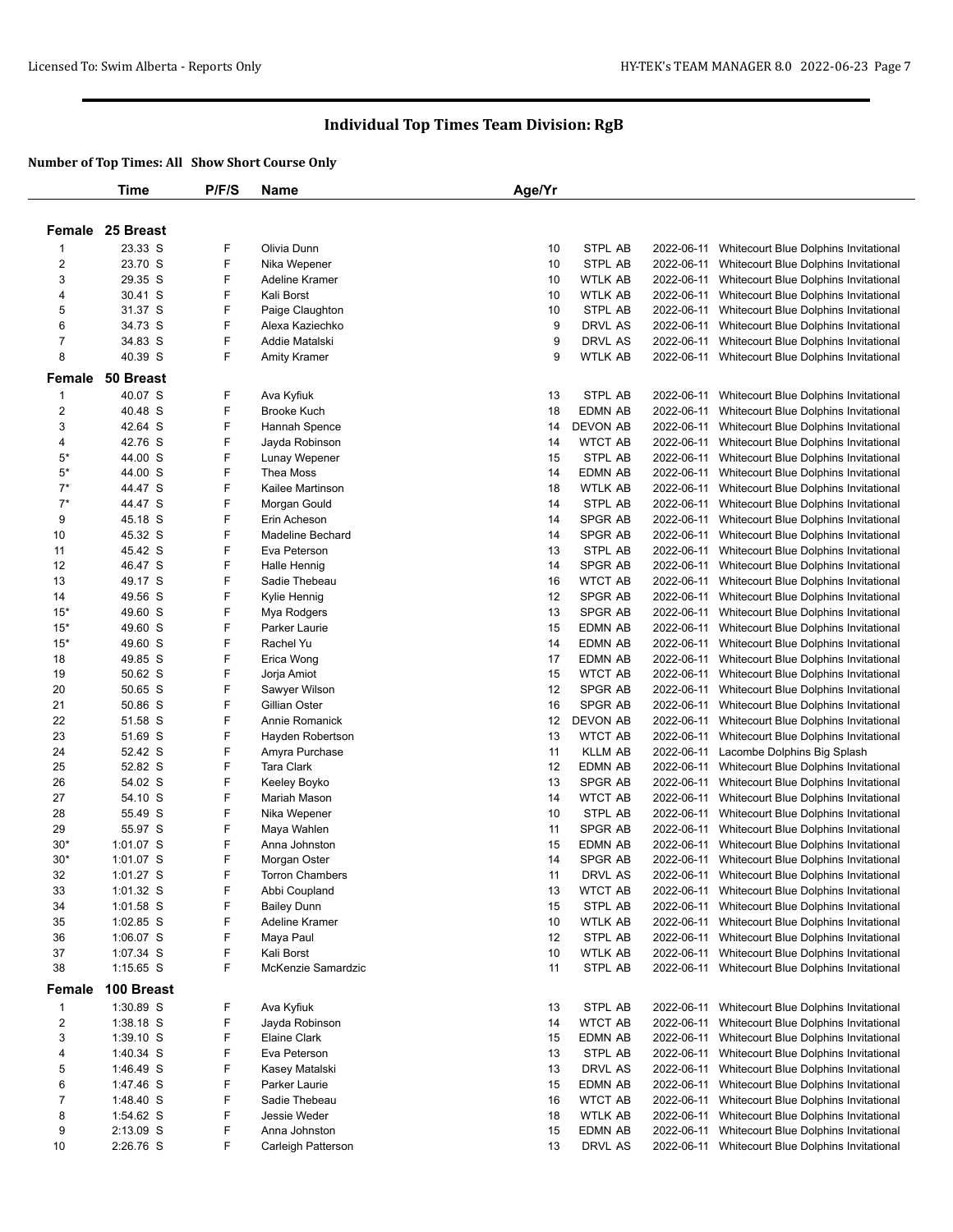|                              | Time                     | P/F/S  | <b>Name</b>             | Age/Yr |                    |                          |                                                                                |
|------------------------------|--------------------------|--------|-------------------------|--------|--------------------|--------------------------|--------------------------------------------------------------------------------|
|                              |                          |        |                         |        |                    |                          |                                                                                |
|                              | Female 25 Breast         |        |                         |        |                    |                          |                                                                                |
|                              |                          |        |                         |        |                    |                          |                                                                                |
| 1<br>$\overline{\mathbf{c}}$ | 23.33 S<br>23.70 S       | F<br>F | Olivia Dunn             | 10     | STPL AB<br>STPL AB | 2022-06-11               | Whitecourt Blue Dolphins Invitational                                          |
|                              | 29.35 S                  |        | Nika Wepener            | 10     |                    | 2022-06-11<br>2022-06-11 | Whitecourt Blue Dolphins Invitational                                          |
| 3                            |                          | F      | Adeline Kramer          | 10     | <b>WTLK AB</b>     |                          | Whitecourt Blue Dolphins Invitational                                          |
| 4                            | 30.41 S                  | F      | Kali Borst              | 10     | WTLK AB            | 2022-06-11               | Whitecourt Blue Dolphins Invitational                                          |
| 5                            | 31.37 S                  | F      | Paige Claughton         | 10     | STPL AB            | 2022-06-11               | Whitecourt Blue Dolphins Invitational                                          |
| 6                            | 34.73 S                  | F      | Alexa Kaziechko         | 9      | DRVL AS            | 2022-06-11               | Whitecourt Blue Dolphins Invitational                                          |
| 7                            | 34.83 S                  | F      | Addie Matalski          | 9      | DRVL AS            | 2022-06-11               | Whitecourt Blue Dolphins Invitational                                          |
| 8                            | 40.39 S                  | F      | <b>Amity Kramer</b>     | 9      | WTLK AB            | 2022-06-11               | Whitecourt Blue Dolphins Invitational                                          |
| Female                       | 50 Breast                |        |                         |        |                    |                          |                                                                                |
| 1                            | 40.07 S                  | F      | Ava Kyfiuk              | 13     | STPL AB            | 2022-06-11               | Whitecourt Blue Dolphins Invitational                                          |
| $\overline{\mathbf{c}}$      | 40.48 S                  | F      | <b>Brooke Kuch</b>      | 18     | <b>EDMN AB</b>     | 2022-06-11               | Whitecourt Blue Dolphins Invitational                                          |
| 3                            | 42.64 S                  | F      | Hannah Spence           | 14     | <b>DEVON AB</b>    | 2022-06-11               | Whitecourt Blue Dolphins Invitational                                          |
| 4                            | 42.76 S                  | F      | Jayda Robinson          | 14     | <b>WTCT AB</b>     | 2022-06-11               | Whitecourt Blue Dolphins Invitational                                          |
| $5*$                         | 44.00 S                  | F      | Lunay Wepener           | 15     | STPL AB            | 2022-06-11               | Whitecourt Blue Dolphins Invitational                                          |
| $5*$                         | 44.00 S                  | F      | Thea Moss               | 14     | <b>EDMN AB</b>     | 2022-06-11               | Whitecourt Blue Dolphins Invitational                                          |
| $7^*$                        | 44.47 S                  | F      | Kailee Martinson        | 18     | <b>WTLK AB</b>     | 2022-06-11               | Whitecourt Blue Dolphins Invitational                                          |
| $7^*$                        | 44.47 S                  | F      | Morgan Gould            | 14     | STPL AB            | 2022-06-11               | Whitecourt Blue Dolphins Invitational                                          |
| 9                            | 45.18 S                  | F      | Erin Acheson            | 14     | SPGR AB            | 2022-06-11               | Whitecourt Blue Dolphins Invitational                                          |
| 10                           | 45.32 S                  | F      | <b>Madeline Bechard</b> | 14     | SPGR AB            | 2022-06-11               | Whitecourt Blue Dolphins Invitational                                          |
| 11                           | 45.42 S                  | F      | Eva Peterson            | 13     | STPL AB            | 2022-06-11               | Whitecourt Blue Dolphins Invitational                                          |
| 12                           | 46.47 S                  | F      | Halle Hennig            | 14     | SPGR AB            | 2022-06-11               | Whitecourt Blue Dolphins Invitational                                          |
| 13                           | 49.17 S                  | F      | Sadie Thebeau           | 16     | <b>WTCT AB</b>     | 2022-06-11               | Whitecourt Blue Dolphins Invitational                                          |
| 14                           | 49.56 S                  | F      | Kylie Hennig            | 12     | SPGR AB            | 2022-06-11               | Whitecourt Blue Dolphins Invitational                                          |
| $15*$                        | 49.60 S                  | F      | Mya Rodgers             | 13     | <b>SPGR AB</b>     | 2022-06-11               | Whitecourt Blue Dolphins Invitational                                          |
| $15*$                        | 49.60 S                  | F      | Parker Laurie           | 15     | <b>EDMN AB</b>     | 2022-06-11               | Whitecourt Blue Dolphins Invitational                                          |
| $15*$                        | 49.60 S                  | F      | Rachel Yu               | 14     | <b>EDMN AB</b>     | 2022-06-11               | Whitecourt Blue Dolphins Invitational                                          |
| 18                           | 49.85 S                  | F      | Erica Wong              | 17     | EDMN AB            | 2022-06-11               | Whitecourt Blue Dolphins Invitational                                          |
| 19                           | 50.62 S                  | F      | Jorja Amiot             | 15     | <b>WTCT AB</b>     | 2022-06-11               | Whitecourt Blue Dolphins Invitational                                          |
| 20                           | 50.65 S                  | F      | Sawyer Wilson           | 12     | SPGR AB            | 2022-06-11               | Whitecourt Blue Dolphins Invitational                                          |
| 21                           | 50.86 S                  | F      | Gillian Oster           | 16     | SPGR AB            | 2022-06-11               | Whitecourt Blue Dolphins Invitational                                          |
| 22                           | 51.58 S                  | F      | Annie Romanick          | 12     | <b>DEVON AB</b>    | 2022-06-11               | Whitecourt Blue Dolphins Invitational                                          |
| 23                           | 51.69 S                  | F      | Hayden Robertson        | 13     | <b>WTCT AB</b>     | 2022-06-11               | Whitecourt Blue Dolphins Invitational                                          |
| 24                           | 52.42 S                  | F      | Amyra Purchase          | 11     | <b>KLLM AB</b>     | 2022-06-11               | Lacombe Dolphins Big Splash                                                    |
| 25                           | 52.82 S                  | F      | <b>Tara Clark</b>       | 12     | <b>EDMN AB</b>     | 2022-06-11               | Whitecourt Blue Dolphins Invitational                                          |
| 26                           | 54.02 S                  | F      | Keeley Boyko            | 13     | SPGR AB            | 2022-06-11               | Whitecourt Blue Dolphins Invitational                                          |
| 27                           | 54.10 S                  | F      | Mariah Mason            | 14     | <b>WTCT AB</b>     | 2022-06-11               | Whitecourt Blue Dolphins Invitational                                          |
| 28                           | 55.49 S                  | F      | Nika Wepener            | 10     | STPL AB            | 2022-06-11               | Whitecourt Blue Dolphins Invitational                                          |
| 29                           | 55.97 S                  | F      | Maya Wahlen             | 11     | SPGR AB            | 2022-06-11               | Whitecourt Blue Dolphins Invitational                                          |
| $30*$                        | 1:01.07 S                | F      | Anna Johnston           | 15     | <b>EDMN AB</b>     | 2022-06-11               | Whitecourt Blue Dolphins Invitational                                          |
| $30*$                        | 1:01.07 S                | F      | Morgan Oster            | 14     | SPGR AB            | 2022-06-11               | Whitecourt Blue Dolphins Invitational                                          |
| 32                           | $1:01.27$ S              | F      | <b>Torron Chambers</b>  | 11     | DRVL AS            | 2022-06-11               | Whitecourt Blue Dolphins Invitational                                          |
| 33                           | 1:01.32 S                | F      | Abbi Coupland           | 13     | <b>WTCT AB</b>     | 2022-06-11               | Whitecourt Blue Dolphins Invitational                                          |
| 34                           |                          | F      | <b>Bailey Dunn</b>      | 15     | STPL AB            |                          | Whitecourt Blue Dolphins Invitational                                          |
| 35                           | $1:01.58$ S<br>1:02.85 S | F      | Adeline Kramer          | 10     | WTLK AB            | 2022-06-11<br>2022-06-11 | Whitecourt Blue Dolphins Invitational                                          |
| 36                           | 1:06.07 S                | F      |                         | 12     | STPL AB            |                          | Whitecourt Blue Dolphins Invitational                                          |
| 37                           |                          | F      | Maya Paul<br>Kali Borst |        | <b>WTLK AB</b>     | 2022-06-11<br>2022-06-11 |                                                                                |
|                              | 1:07.34 S                | F      |                         | 10     | STPL AB            |                          | Whitecourt Blue Dolphins Invitational<br>Whitecourt Blue Dolphins Invitational |
| 38                           | 1:15.65 S                |        | McKenzie Samardzic      | 11     |                    | 2022-06-11               |                                                                                |
| Female                       | 100 Breast               |        |                         |        |                    |                          |                                                                                |
| $\mathbf{1}$                 | 1:30.89 S                | F      | Ava Kyfiuk              | 13     | STPL AB            | 2022-06-11               | Whitecourt Blue Dolphins Invitational                                          |
| $\overline{\mathbf{c}}$      | 1:38.18 S                | F      | Jayda Robinson          | 14     | <b>WTCT AB</b>     | 2022-06-11               | Whitecourt Blue Dolphins Invitational                                          |
| 3                            | 1:39.10 S                | F      | Elaine Clark            | 15     | <b>EDMN AB</b>     | 2022-06-11               | Whitecourt Blue Dolphins Invitational                                          |
| 4                            | 1:40.34 S                | F      | Eva Peterson            | 13     | STPL AB            | 2022-06-11               | Whitecourt Blue Dolphins Invitational                                          |
| 5                            | 1:46.49 S                | F      | Kasey Matalski          | 13     | DRVL AS            | 2022-06-11               | Whitecourt Blue Dolphins Invitational                                          |
| 6                            | 1:47.46 S                | F      | Parker Laurie           | 15     | <b>EDMN AB</b>     | 2022-06-11               | Whitecourt Blue Dolphins Invitational                                          |
| $\overline{7}$               | 1:48.40 S                | F      | Sadie Thebeau           | 16     | <b>WTCT AB</b>     | 2022-06-11               | Whitecourt Blue Dolphins Invitational                                          |
| 8                            | 1:54.62 S                | F      | Jessie Weder            | 18     | WTLK AB            | 2022-06-11               | Whitecourt Blue Dolphins Invitational                                          |
| 9                            | 2:13.09 S                | F      | Anna Johnston           | 15     | <b>EDMN AB</b>     | 2022-06-11               | Whitecourt Blue Dolphins Invitational                                          |
| 10                           | 2:26.76 S                | F      | Carleigh Patterson      | 13     | DRVL AS            | 2022-06-11               | Whitecourt Blue Dolphins Invitational                                          |
|                              |                          |        |                         |        |                    |                          |                                                                                |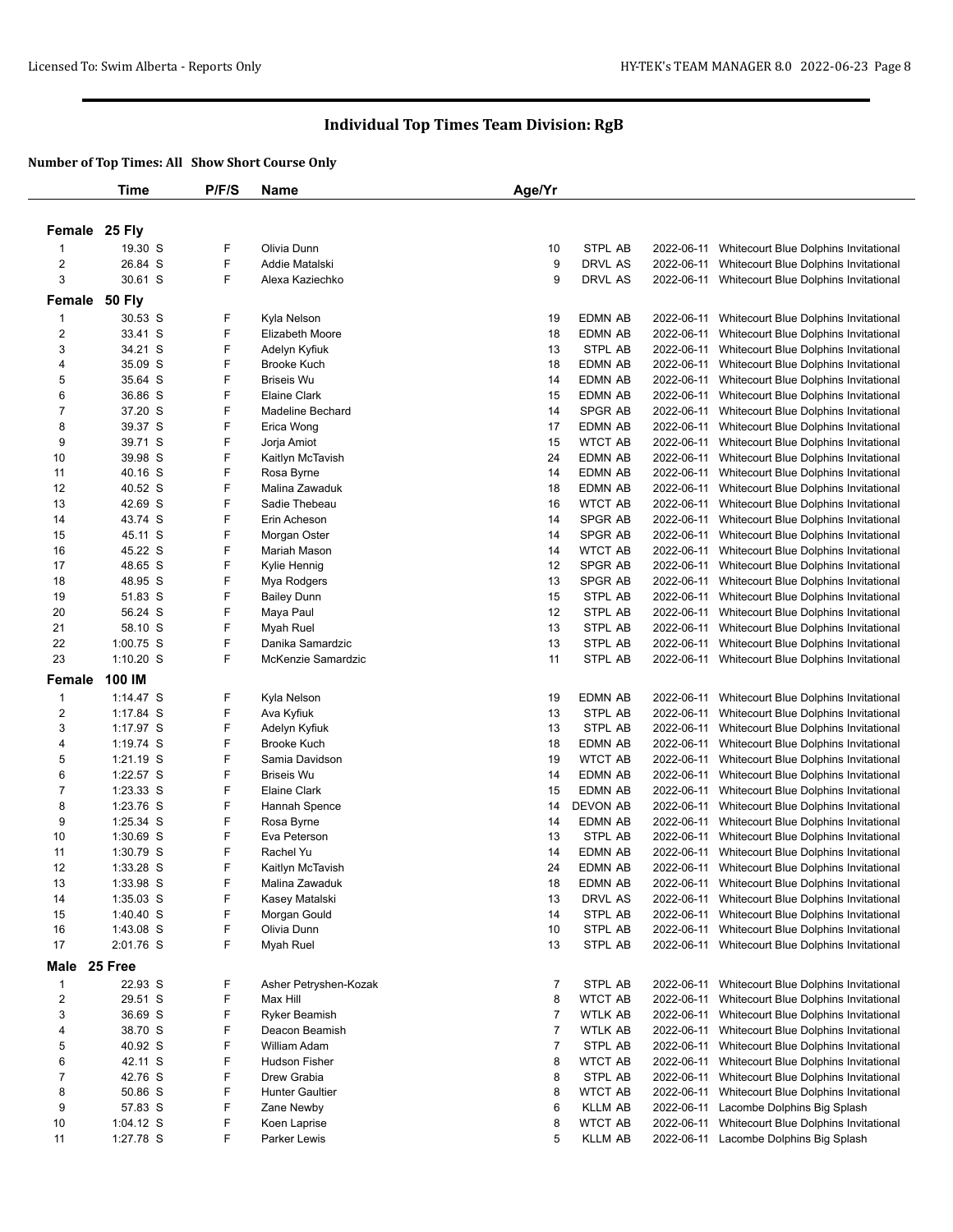|                  | Time        | P/F/S | <b>Name</b>             | Age/Yr |                |            |                                                  |
|------------------|-------------|-------|-------------------------|--------|----------------|------------|--------------------------------------------------|
|                  |             |       |                         |        |                |            |                                                  |
| Female 25 Fly    |             |       |                         |        |                |            |                                                  |
|                  |             |       |                         |        |                |            |                                                  |
| -1               | 19.30 S     | F     | Olivia Dunn             | 10     | STPL AB        | 2022-06-11 | Whitecourt Blue Dolphins Invitational            |
| 2                | 26.84 S     | F     | Addie Matalski          | 9      | DRVL AS        | 2022-06-11 | Whitecourt Blue Dolphins Invitational            |
| 3                | 30.61 S     | F     | Alexa Kaziechko         | 9      | DRVL AS        |            | 2022-06-11 Whitecourt Blue Dolphins Invitational |
| Female 50 Fly    |             |       |                         |        |                |            |                                                  |
| $\mathbf 1$      | 30.53 S     | F     | Kyla Nelson             | 19     | EDMN AB        | 2022-06-11 | Whitecourt Blue Dolphins Invitational            |
| $\boldsymbol{2}$ | 33.41 S     | F     | Elizabeth Moore         | 18     | EDMN AB        | 2022-06-11 | Whitecourt Blue Dolphins Invitational            |
| 3                | 34.21 S     | F     | Adelyn Kyfiuk           | 13     | STPL AB        | 2022-06-11 | Whitecourt Blue Dolphins Invitational            |
| 4                | 35.09 S     | F     | Brooke Kuch             | 18     | EDMN AB        | 2022-06-11 | Whitecourt Blue Dolphins Invitational            |
| 5                | 35.64 S     | F     | <b>Briseis Wu</b>       | 14     | EDMN AB        | 2022-06-11 | Whitecourt Blue Dolphins Invitational            |
| 6                | 36.86 S     | F     | <b>Elaine Clark</b>     | 15     | EDMN AB        | 2022-06-11 | Whitecourt Blue Dolphins Invitational            |
| 7                | 37.20 S     | F     | <b>Madeline Bechard</b> | 14     | SPGR AB        | 2022-06-11 | Whitecourt Blue Dolphins Invitational            |
| 8                | 39.37 S     | F     | Erica Wong              | 17     | EDMN AB        | 2022-06-11 | Whitecourt Blue Dolphins Invitational            |
| 9                | 39.71 S     | F     | Jorja Amiot             | 15     | WTCT AB        | 2022-06-11 | Whitecourt Blue Dolphins Invitational            |
| 10               | 39.98 S     | F     | Kaitlyn McTavish        | 24     | EDMN AB        | 2022-06-11 | Whitecourt Blue Dolphins Invitational            |
| 11               | 40.16 S     | F     | Rosa Byrne              | 14     | EDMN AB        | 2022-06-11 | Whitecourt Blue Dolphins Invitational            |
| 12               | 40.52 S     | F     | Malina Zawaduk          | 18     | EDMN AB        | 2022-06-11 | Whitecourt Blue Dolphins Invitational            |
| 13               | 42.69 S     | F     | Sadie Thebeau           | 16     | WTCT AB        | 2022-06-11 | Whitecourt Blue Dolphins Invitational            |
| 14               | 43.74 S     | F     | Erin Acheson            | 14     | SPGR AB        | 2022-06-11 | Whitecourt Blue Dolphins Invitational            |
| 15               | 45.11 S     | F     | Morgan Oster            | 14     | SPGR AB        | 2022-06-11 | Whitecourt Blue Dolphins Invitational            |
| 16               | 45.22 S     | F     | Mariah Mason            | 14     | <b>WTCT AB</b> | 2022-06-11 | Whitecourt Blue Dolphins Invitational            |
| 17               | 48.65 S     | F     | Kylie Hennig            | 12     | <b>SPGR AB</b> | 2022-06-11 | Whitecourt Blue Dolphins Invitational            |
| 18               | 48.95 S     | F     | Mya Rodgers             | 13     | <b>SPGR AB</b> | 2022-06-11 | Whitecourt Blue Dolphins Invitational            |
| 19               | 51.83 S     | F     | <b>Bailey Dunn</b>      | 15     | STPL AB        | 2022-06-11 | Whitecourt Blue Dolphins Invitational            |
| 20               | 56.24 S     | F     | Maya Paul               | 12     | STPL AB        | 2022-06-11 | Whitecourt Blue Dolphins Invitational            |
| 21               | 58.10 S     | F     | Myah Ruel               | 13     | STPL AB        | 2022-06-11 | Whitecourt Blue Dolphins Invitational            |
| 22               | 1:00.75 S   | F     | Danika Samardzic        | 13     | STPL AB        | 2022-06-11 | Whitecourt Blue Dolphins Invitational            |
| 23               | 1:10.20 S   | F     | McKenzie Samardzic      | 11     | STPL AB        | 2022-06-11 | Whitecourt Blue Dolphins Invitational            |
| Female           | 100 IM      |       |                         |        |                |            |                                                  |
| 1                | 1:14.47 S   | F     | Kyla Nelson             | 19     | EDMN AB        | 2022-06-11 | Whitecourt Blue Dolphins Invitational            |
| 2                | $1:17.84$ S | F     | Ava Kyfiuk              | 13     | STPL AB        | 2022-06-11 | Whitecourt Blue Dolphins Invitational            |
| 3                | 1:17.97 S   | F     | Adelyn Kyfiuk           | 13     | STPL AB        | 2022-06-11 | Whitecourt Blue Dolphins Invitational            |
| 4                | 1:19.74 $S$ | F     | <b>Brooke Kuch</b>      | 18     | EDMN AB        | 2022-06-11 | Whitecourt Blue Dolphins Invitational            |
| 5                | $1:21.19$ S | F     | Samia Davidson          | 19     | WTCT AB        | 2022-06-11 | Whitecourt Blue Dolphins Invitational            |
| 6                | 1:22.57 S   | F     | <b>Briseis Wu</b>       | 14     | EDMN AB        | 2022-06-11 | Whitecourt Blue Dolphins Invitational            |
| $\overline{7}$   | $1:23.33$ S | F     | Elaine Clark            | 15     | EDMN AB        | 2022-06-11 | Whitecourt Blue Dolphins Invitational            |
| 8                | 1:23.76 S   | F     | Hannah Spence           | 14     | DEVON AB       | 2022-06-11 | Whitecourt Blue Dolphins Invitational            |
| 9                | 1:25.34 S   | F     | Rosa Byrne              | 14     | EDMN AB        | 2022-06-11 | Whitecourt Blue Dolphins Invitational            |
| 10               | $1:30.69$ S | F     | Eva Peterson            | 13     | STPL AB        | 2022-06-11 | Whitecourt Blue Dolphins Invitational            |
| 11               | 1:30.79 S   | F     | Rachel Yu               | 14     | <b>EDMN AB</b> | 2022-06-11 | Whitecourt Blue Dolphins Invitational            |
| 12               | $1:33.28$ S | F     | Kaitlyn McTavish        | 24     | EDMN AB        |            | 2022-06-11 Whitecourt Blue Dolphins Invitational |
| 13               | 1:33.98 S   |       | Malina Zawaduk          | 18     | EDMN AB        |            | 2022-06-11 Whitecourt Blue Dolphins Invitational |
| 14               | $1:35.03$ S | F     | Kasey Matalski          | 13     | DRVL AS        |            | 2022-06-11 Whitecourt Blue Dolphins Invitational |
| 15               | $1:40.40$ S | F     | Morgan Gould            | 14     | STPL AB        | 2022-06-11 | Whitecourt Blue Dolphins Invitational            |
| 16               | 1:43.08 S   | F     | Olivia Dunn             | 10     | STPL AB        | 2022-06-11 | Whitecourt Blue Dolphins Invitational            |
| 17               | 2:01.76 S   | F     | Myah Ruel               | 13     | STPL AB        | 2022-06-11 | Whitecourt Blue Dolphins Invitational            |
| Male             | 25 Free     |       |                         |        |                |            |                                                  |
| $\mathbf{1}$     | 22.93 S     | F     | Asher Petryshen-Kozak   | 7      | STPL AB        | 2022-06-11 | Whitecourt Blue Dolphins Invitational            |
| 2                | 29.51 S     | F     | Max Hill                | 8      | WTCT AB        | 2022-06-11 | Whitecourt Blue Dolphins Invitational            |
| 3                | 36.69 S     | F     | Ryker Beamish           | 7      | WTLK AB        | 2022-06-11 | Whitecourt Blue Dolphins Invitational            |
| 4                | 38.70 S     | F     | Deacon Beamish          | 7      | WTLK AB        | 2022-06-11 | Whitecourt Blue Dolphins Invitational            |
| 5                | 40.92 S     | F     | William Adam            | 7      | STPL AB        | 2022-06-11 | Whitecourt Blue Dolphins Invitational            |
| 6                | 42.11 S     | F     | <b>Hudson Fisher</b>    | 8      | <b>WTCT AB</b> | 2022-06-11 | Whitecourt Blue Dolphins Invitational            |
| 7                | 42.76 S     | F     | Drew Grabia             | 8      | STPL AB        | 2022-06-11 | Whitecourt Blue Dolphins Invitational            |
| 8                | 50.86 S     | F     | <b>Hunter Gaultier</b>  | 8      | <b>WTCT AB</b> | 2022-06-11 | Whitecourt Blue Dolphins Invitational            |
| 9                | 57.83 S     | F     | Zane Newby              | 6      | <b>KLLM AB</b> | 2022-06-11 | Lacombe Dolphins Big Splash                      |
| 10               | $1:04.12$ S | F     | Koen Laprise            | 8      | WTCT AB        | 2022-06-11 | Whitecourt Blue Dolphins Invitational            |
| 11               | 1:27.78 S   | F     | Parker Lewis            | 5      | <b>KLLM AB</b> |            | 2022-06-11 Lacombe Dolphins Big Splash           |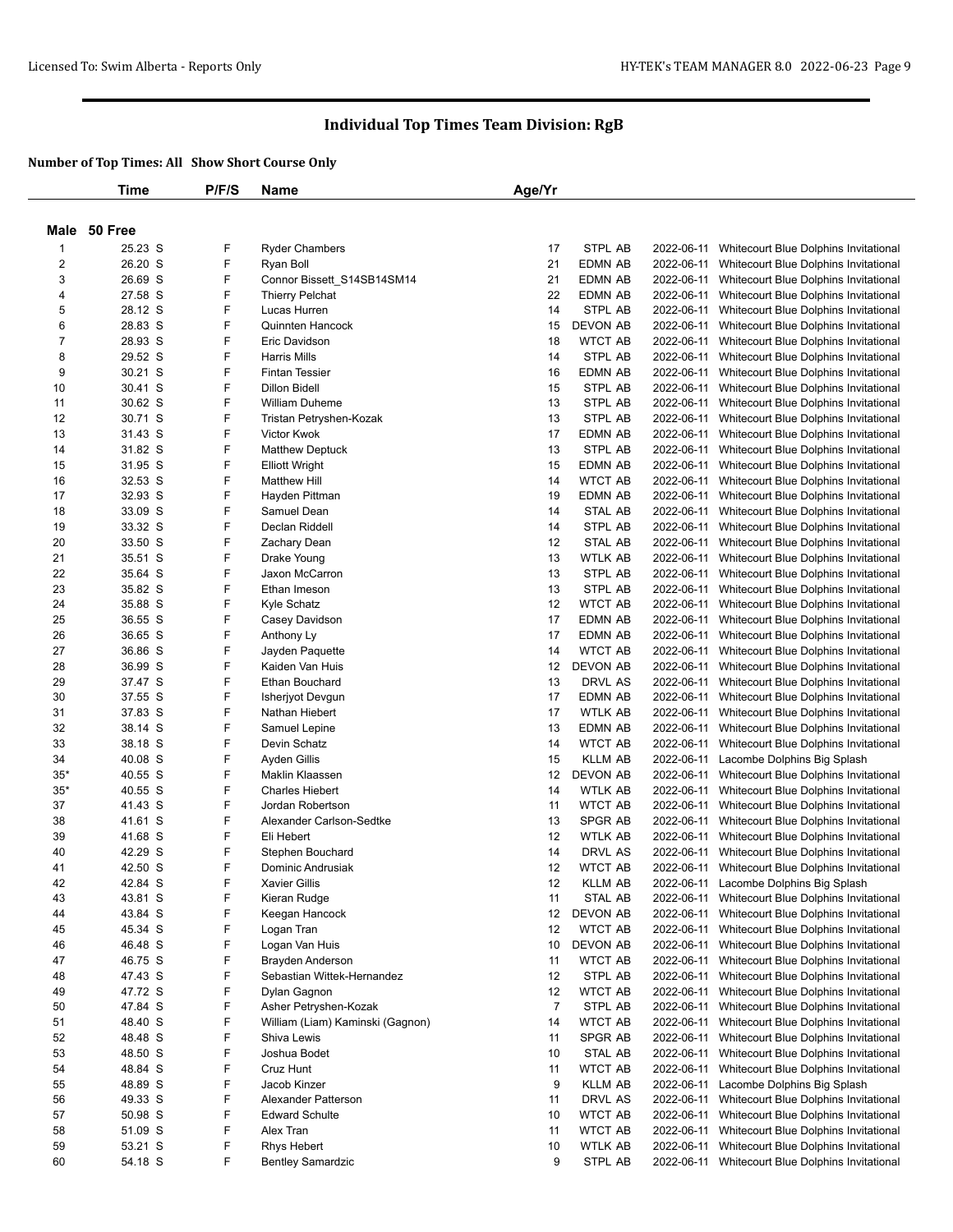|                  | Time               | P/F/S  | Name                             | Age/Yr         |                           |            |                                                                                 |
|------------------|--------------------|--------|----------------------------------|----------------|---------------------------|------------|---------------------------------------------------------------------------------|
|                  |                    |        |                                  |                |                           |            |                                                                                 |
|                  | Male 50 Free       |        |                                  |                |                           |            |                                                                                 |
| 1                | 25.23 S            | F      | <b>Ryder Chambers</b>            | 17             | STPL AB                   | 2022-06-11 | Whitecourt Blue Dolphins Invitational                                           |
| 2                | 26.20 S            | F      | Ryan Boll                        | 21             | <b>EDMN AB</b>            |            | 2022-06-11 Whitecourt Blue Dolphins Invitational                                |
| 3                | 26.69 S            | F      | Connor Bissett_S14SB14SM14       | 21             | <b>EDMN AB</b>            |            | 2022-06-11 Whitecourt Blue Dolphins Invitational                                |
| 4                | 27.58 S            | F      | <b>Thierry Pelchat</b>           | 22             | <b>EDMN AB</b>            | 2022-06-11 | Whitecourt Blue Dolphins Invitational                                           |
| 5                | 28.12 S            | F      | Lucas Hurren                     | 14             | STPL AB                   | 2022-06-11 | Whitecourt Blue Dolphins Invitational                                           |
| 6                | 28.83 S            | F      | Quinnten Hancock                 | 15             | <b>DEVON AB</b>           | 2022-06-11 | Whitecourt Blue Dolphins Invitational                                           |
| $\boldsymbol{7}$ | 28.93 S            | F      | Eric Davidson                    | 18             | <b>WTCT AB</b>            | 2022-06-11 | Whitecourt Blue Dolphins Invitational                                           |
| 8                | 29.52 S            | F      | <b>Harris Mills</b>              | 14             | STPL AB                   | 2022-06-11 | Whitecourt Blue Dolphins Invitational                                           |
| 9                | 30.21 S            | F      | <b>Fintan Tessier</b>            | 16             | EDMN AB                   | 2022-06-11 | Whitecourt Blue Dolphins Invitational                                           |
| 10               | 30.41 S            | F      | <b>Dillon Bidell</b>             | 15             | STPL AB                   | 2022-06-11 | Whitecourt Blue Dolphins Invitational                                           |
| 11               | 30.62 S            | F      | <b>William Duheme</b>            | 13             | STPL AB                   | 2022-06-11 | Whitecourt Blue Dolphins Invitational                                           |
| 12               | 30.71 S            | F      | Tristan Petryshen-Kozak          | 13             | STPL AB                   | 2022-06-11 | Whitecourt Blue Dolphins Invitational                                           |
| 13               | 31.43 S            | F      | Victor Kwok                      | 17             | EDMN AB                   | 2022-06-11 | Whitecourt Blue Dolphins Invitational                                           |
| 14               | 31.82 S            | F      | <b>Matthew Deptuck</b>           | 13             | STPL AB                   | 2022-06-11 | Whitecourt Blue Dolphins Invitational                                           |
| 15               | 31.95 S            | F      | <b>Elliott Wright</b>            | 15             | EDMN AB                   | 2022-06-11 | Whitecourt Blue Dolphins Invitational                                           |
| 16               | 32.53 S            | F      | <b>Matthew Hill</b>              | 14             | <b>WTCT AB</b>            | 2022-06-11 | Whitecourt Blue Dolphins Invitational                                           |
| 17               | 32.93 S            | F      | Hayden Pittman                   | 19             | EDMN AB                   | 2022-06-11 | Whitecourt Blue Dolphins Invitational                                           |
| 18               | 33.09 S            | F      | Samuel Dean                      | 14             | STAL AB                   | 2022-06-11 | Whitecourt Blue Dolphins Invitational                                           |
| 19               | 33.32 S            | F      | Declan Riddell                   | 14             | STPL AB                   | 2022-06-11 | Whitecourt Blue Dolphins Invitational                                           |
| 20               | 33.50 S            | F      | Zachary Dean                     | 12             | STAL AB                   | 2022-06-11 | Whitecourt Blue Dolphins Invitational                                           |
| 21               | 35.51 S            | F      | Drake Young                      | 13             | WTLK AB                   | 2022-06-11 | Whitecourt Blue Dolphins Invitational                                           |
| 22               | 35.64 S            | F      | Jaxon McCarron                   | 13             | STPL AB                   | 2022-06-11 | Whitecourt Blue Dolphins Invitational                                           |
| 23               | 35.82 S            | F      | Ethan Imeson                     | 13             | STPL AB                   | 2022-06-11 | Whitecourt Blue Dolphins Invitational                                           |
| 24               | 35.88 S            | F      | Kyle Schatz                      | 12             | <b>WTCT AB</b>            | 2022-06-11 | Whitecourt Blue Dolphins Invitational                                           |
| 25               | 36.55 S            | F      | Casey Davidson                   | 17             | <b>EDMN AB</b>            | 2022-06-11 | Whitecourt Blue Dolphins Invitational                                           |
| 26               | 36.65 S            | F      | Anthony Ly                       | 17             | <b>EDMN AB</b>            | 2022-06-11 | Whitecourt Blue Dolphins Invitational                                           |
| 27               | 36.86 S            | F      | Jayden Paquette                  | 14             | <b>WTCT AB</b>            | 2022-06-11 | Whitecourt Blue Dolphins Invitational                                           |
| 28               | 36.99 S            | F      | Kaiden Van Huis                  | 12             | DEVON AB                  | 2022-06-11 | Whitecourt Blue Dolphins Invitational                                           |
| 29               | 37.47 S            | F      | Ethan Bouchard                   | 13             | DRVL AS                   | 2022-06-11 | Whitecourt Blue Dolphins Invitational                                           |
| 30               | 37.55 S            | F      | Isherjyot Devgun                 | 17             | <b>EDMN AB</b>            | 2022-06-11 | Whitecourt Blue Dolphins Invitational                                           |
| 31               | 37.83 S            | F      | Nathan Hiebert                   | 17             | <b>WTLK AB</b>            | 2022-06-11 | Whitecourt Blue Dolphins Invitational                                           |
| 32               | 38.14 S            | F<br>F | Samuel Lepine<br>Devin Schatz    | 13<br>14       | EDMN AB<br><b>WTCT AB</b> | 2022-06-11 | Whitecourt Blue Dolphins Invitational                                           |
| 33               | 38.18 S            | F      |                                  |                | <b>KLLM AB</b>            | 2022-06-11 | Whitecourt Blue Dolphins Invitational                                           |
| 34<br>$35*$      | 40.08 S<br>40.55 S | F      | Ayden Gillis<br>Maklin Klaassen  | 15<br>12       | DEVON AB                  | 2022-06-11 | Lacombe Dolphins Big Splash<br>2022-06-11 Whitecourt Blue Dolphins Invitational |
| $35*$            | 40.55 S            | F      | <b>Charles Hiebert</b>           | 14             | <b>WTLK AB</b>            | 2022-06-11 | Whitecourt Blue Dolphins Invitational                                           |
| 37               | 41.43 S            | F      | Jordan Robertson                 | 11             | <b>WTCT AB</b>            | 2022-06-11 | Whitecourt Blue Dolphins Invitational                                           |
| 38               | 41.61 S            | F      | Alexander Carlson-Sedtke         | 13             | SPGR AB                   | 2022-06-11 | Whitecourt Blue Dolphins Invitational                                           |
| 39               | 41.68 S            | F      | Eli Hebert                       | 12             | WTLK AB                   | 2022-06-11 | Whitecourt Blue Dolphins Invitational                                           |
| 40               | 42.29 S            | F      | Stephen Bouchard                 | 14             | DRVL AS                   | 2022-06-11 | Whitecourt Blue Dolphins Invitational                                           |
| 41               | 42.50 S            | F      | Dominic Andrusiak                | 12             | <b>WTCT AB</b>            |            | 2022-06-11 Whitecourt Blue Dolphins Invitational                                |
| 42               | 42.84 S            | F      | Xavier Gillis                    | 12             | <b>KLLM AB</b>            |            | 2022-06-11 Lacombe Dolphins Big Splash                                          |
| 43               | 43.81 S            | F      | Kieran Rudge                     | 11             | STAL AB                   |            | 2022-06-11 Whitecourt Blue Dolphins Invitational                                |
| 44               | 43.84 S            | F      | Keegan Hancock                   | 12             | DEVON AB                  |            | 2022-06-11 Whitecourt Blue Dolphins Invitational                                |
| 45               | 45.34 S            | F      | Logan Tran                       | 12             | <b>WTCT AB</b>            |            | 2022-06-11 Whitecourt Blue Dolphins Invitational                                |
| 46               | 46.48 S            | F      | Logan Van Huis                   | 10             | <b>DEVON AB</b>           |            | 2022-06-11 Whitecourt Blue Dolphins Invitational                                |
| 47               | 46.75 S            | F      | Brayden Anderson                 | 11             | <b>WTCT AB</b>            |            | 2022-06-11 Whitecourt Blue Dolphins Invitational                                |
| 48               | 47.43 S            | F      | Sebastian Wittek-Hernandez       | 12             | STPL AB                   | 2022-06-11 | Whitecourt Blue Dolphins Invitational                                           |
| 49               | 47.72 S            | F      | Dylan Gagnon                     | 12             | <b>WTCT AB</b>            |            | 2022-06-11 Whitecourt Blue Dolphins Invitational                                |
| 50               | 47.84 S            | F      | Asher Petryshen-Kozak            | $\overline{7}$ | STPL AB                   | 2022-06-11 | Whitecourt Blue Dolphins Invitational                                           |
| 51               | 48.40 S            | F      | William (Liam) Kaminski (Gagnon) | 14             | <b>WTCT AB</b>            | 2022-06-11 | Whitecourt Blue Dolphins Invitational                                           |
| 52               | 48.48 S            | F      | Shiva Lewis                      | 11             | SPGR AB                   |            | 2022-06-11 Whitecourt Blue Dolphins Invitational                                |
| 53               | 48.50 S            | F      | Joshua Bodet                     | 10             | STAL AB                   | 2022-06-11 | Whitecourt Blue Dolphins Invitational                                           |
| 54               | 48.84 S            | F      | Cruz Hunt                        | 11             | <b>WTCT AB</b>            | 2022-06-11 | Whitecourt Blue Dolphins Invitational                                           |
| 55               | 48.89 S            | F      | Jacob Kinzer                     | 9              | <b>KLLM AB</b>            |            | 2022-06-11 Lacombe Dolphins Big Splash                                          |
| 56               | 49.33 S            | F      | Alexander Patterson              | 11             | DRVL AS                   | 2022-06-11 | Whitecourt Blue Dolphins Invitational                                           |
| 57               | 50.98 S            | F      | <b>Edward Schulte</b>            | 10             | <b>WTCT AB</b>            | 2022-06-11 | Whitecourt Blue Dolphins Invitational                                           |
| 58               | 51.09 S            | F      | Alex Tran                        | 11             | <b>WTCT AB</b>            |            | 2022-06-11 Whitecourt Blue Dolphins Invitational                                |
| 59               | 53.21 S            | F      | <b>Rhys Hebert</b>               | 10             | WTLK AB                   |            | 2022-06-11 Whitecourt Blue Dolphins Invitational                                |
| 60               | 54.18 S            | F      | <b>Bentley Samardzic</b>         | 9              | STPL AB                   |            | 2022-06-11 Whitecourt Blue Dolphins Invitational                                |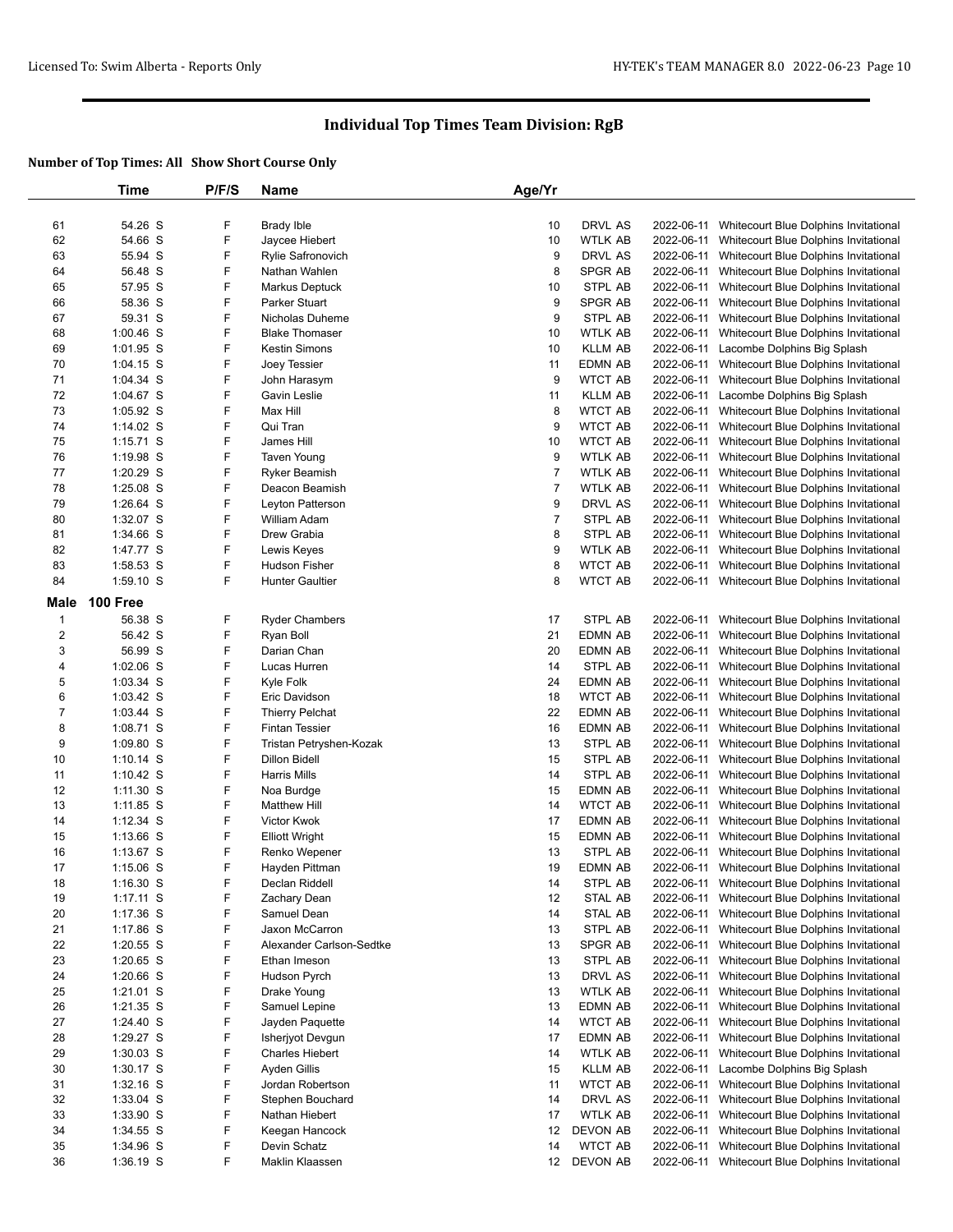|                  | Time            | P/F/S | <b>Name</b>              | Age/Yr         |                |            |                                                                                |
|------------------|-----------------|-------|--------------------------|----------------|----------------|------------|--------------------------------------------------------------------------------|
|                  |                 |       |                          |                |                |            |                                                                                |
| 61               | 54.26 S         | F     | <b>Brady Ible</b>        | 10             | DRVL AS        | 2022-06-11 | Whitecourt Blue Dolphins Invitational                                          |
| 62               | 54.66 S         | F     | Jaycee Hiebert           | 10             | WTLK AB        | 2022-06-11 | Whitecourt Blue Dolphins Invitational                                          |
| 63               | 55.94 S         | F     | <b>Rylie Safronovich</b> | 9              | DRVL AS        | 2022-06-11 | Whitecourt Blue Dolphins Invitational                                          |
| 64               | 56.48 S         | F     | Nathan Wahlen            | 8              | SPGR AB        | 2022-06-11 | Whitecourt Blue Dolphins Invitational                                          |
| 65               | 57.95 S         | F     | Markus Deptuck           | 10             | STPL AB        | 2022-06-11 | Whitecourt Blue Dolphins Invitational                                          |
| 66               | 58.36 S         | F     | Parker Stuart            | 9              | SPGR AB        | 2022-06-11 | Whitecourt Blue Dolphins Invitational                                          |
| 67               | 59.31 S         | F     | Nicholas Duheme          | 9              | STPL AB        | 2022-06-11 | Whitecourt Blue Dolphins Invitational                                          |
| 68               | $1:00.46$ S     | F     | <b>Blake Thomaser</b>    | 10             | <b>WTLK AB</b> | 2022-06-11 | Whitecourt Blue Dolphins Invitational                                          |
| 69               | $1:01.95$ S     | F     | <b>Kestin Simons</b>     | 10             | <b>KLLM AB</b> | 2022-06-11 | Lacombe Dolphins Big Splash                                                    |
| 70               | $1:04.15$ S     | F     | Joey Tessier             | 11             | <b>EDMN AB</b> | 2022-06-11 |                                                                                |
| 71               |                 | F     |                          | 9              | <b>WTCT AB</b> |            | Whitecourt Blue Dolphins Invitational<br>Whitecourt Blue Dolphins Invitational |
|                  | $1:04.34$ S     |       | John Harasym             |                |                | 2022-06-11 |                                                                                |
| 72               | 1:04.67 S       | F     | Gavin Leslie             | 11             | <b>KLLM AB</b> | 2022-06-11 | Lacombe Dolphins Big Splash                                                    |
| 73               | $1:05.92$ S     | F     | Max Hill                 | 8              | <b>WTCT AB</b> | 2022-06-11 | Whitecourt Blue Dolphins Invitational                                          |
| 74               | $1:14.02$ S     | F     | Qui Tran                 | 9              | <b>WTCT AB</b> | 2022-06-11 | Whitecourt Blue Dolphins Invitational                                          |
| 75               | $1:15.71$ S     | F     | James Hill               | 10             | <b>WTCT AB</b> | 2022-06-11 | Whitecourt Blue Dolphins Invitational                                          |
| 76               | $1:19.98$ S     | F     | <b>Taven Young</b>       | 9              | WTLK AB        | 2022-06-11 | Whitecourt Blue Dolphins Invitational                                          |
| 77               | $1:20.29$ S     | F     | Ryker Beamish            | $\overline{7}$ | WTLK AB        | 2022-06-11 | Whitecourt Blue Dolphins Invitational                                          |
| 78               | 1:25.08 S       | F     | Deacon Beamish           | 7              | WTLK AB        | 2022-06-11 | Whitecourt Blue Dolphins Invitational                                          |
| 79               | 1:26.64 S       | F     | Leyton Patterson         | 9              | DRVL AS        | 2022-06-11 | Whitecourt Blue Dolphins Invitational                                          |
| 80               | 1:32.07 S       | F     | William Adam             | $\overline{7}$ | STPL AB        | 2022-06-11 | Whitecourt Blue Dolphins Invitational                                          |
| 81               | 1:34.66 S       | F     | Drew Grabia              | 8              | STPL AB        | 2022-06-11 | Whitecourt Blue Dolphins Invitational                                          |
| 82               | 1:47.77 S       | F     | Lewis Keyes              | 9              | <b>WTLK AB</b> | 2022-06-11 | Whitecourt Blue Dolphins Invitational                                          |
| 83               | 1:58.53 S       | F     | Hudson Fisher            | 8              | <b>WTCT AB</b> | 2022-06-11 | Whitecourt Blue Dolphins Invitational                                          |
| 84               | 1:59.10 S       | F     | <b>Hunter Gaultier</b>   | 8              | <b>WTCT AB</b> |            | 2022-06-11 Whitecourt Blue Dolphins Invitational                               |
| <b>Male</b>      | <b>100 Free</b> |       |                          |                |                |            |                                                                                |
|                  |                 |       |                          |                |                |            |                                                                                |
| $\mathbf{1}$     | 56.38 S         | F     | <b>Ryder Chambers</b>    | 17             | STPL AB        | 2022-06-11 | Whitecourt Blue Dolphins Invitational                                          |
| $\boldsymbol{2}$ | 56.42 S         | F     | Ryan Boll                | 21             | EDMN AB        | 2022-06-11 | Whitecourt Blue Dolphins Invitational                                          |
| 3                | 56.99 S         | F     | Darian Chan              | 20             | EDMN AB        | 2022-06-11 | Whitecourt Blue Dolphins Invitational                                          |
| 4                | $1:02.06$ S     | F     | Lucas Hurren             | 14             | STPL AB        | 2022-06-11 | Whitecourt Blue Dolphins Invitational                                          |
| 5                | $1:03.34$ S     | F     | Kyle Folk                | 24             | EDMN AB        | 2022-06-11 | Whitecourt Blue Dolphins Invitational                                          |
| 6                | $1:03.42$ S     | F     | Eric Davidson            | 18             | <b>WTCT AB</b> | 2022-06-11 | Whitecourt Blue Dolphins Invitational                                          |
| $\overline{7}$   | $1:03.44$ S     | F     | <b>Thierry Pelchat</b>   | 22             | EDMN AB        | 2022-06-11 | Whitecourt Blue Dolphins Invitational                                          |
| 8                | $1:08.71$ S     | F     | <b>Fintan Tessier</b>    | 16             | EDMN AB        | 2022-06-11 | Whitecourt Blue Dolphins Invitational                                          |
| 9                | 1:09.80 S       | F     | Tristan Petryshen-Kozak  | 13             | STPL AB        | 2022-06-11 | Whitecourt Blue Dolphins Invitational                                          |
| 10               | $1:10.14$ S     | F     | <b>Dillon Bidell</b>     | 15             | STPL AB        | 2022-06-11 | Whitecourt Blue Dolphins Invitational                                          |
| 11               | 1:10.42 S       | F     | Harris Mills             | 14             | STPL AB        | 2022-06-11 | Whitecourt Blue Dolphins Invitational                                          |
| 12               | $1:11.30$ S     | F     | Noa Burdge               | 15             | EDMN AB        | 2022-06-11 | Whitecourt Blue Dolphins Invitational                                          |
| 13               | $1:11.85$ S     | F     | <b>Matthew Hill</b>      | 14             | <b>WTCT AB</b> | 2022-06-11 | Whitecourt Blue Dolphins Invitational                                          |
| 14               | $1:12.34$ S     | F     | Victor Kwok              | 17             | EDMN AB        | 2022-06-11 | Whitecourt Blue Dolphins Invitational                                          |
| 15               | $1:13.66$ S     | F     | <b>Elliott Wright</b>    | 15             | EDMN AB        | 2022-06-11 | Whitecourt Blue Dolphins Invitational                                          |
| 16               | $1:13.67$ S     | F     | Renko Wepener            | 13             | STPL AB        |            | 2022-06-11 Whitecourt Blue Dolphins Invitational                               |
| 17               | $1:15.06$ S     | F     | Hayden Pittman           | 19             | EDMN AB        |            | 2022-06-11 Whitecourt Blue Dolphins Invitational                               |
| 18               | 1:16.30 S       | F     | Declan Riddell           | 14             | STPL AB        |            | 2022-06-11 Whitecourt Blue Dolphins Invitational                               |
| 19               | $1:17.11$ S     | F     | Zachary Dean             | 12             | STAL AB        |            | 2022-06-11 Whitecourt Blue Dolphins Invitational                               |
| 20               | 1:17.36 S       | F     | Samuel Dean              | 14             | STAL AB        |            | 2022-06-11 Whitecourt Blue Dolphins Invitational                               |
| 21               | $1:17.86$ S     | F     | Jaxon McCarron           | 13             | STPL AB        | 2022-06-11 | Whitecourt Blue Dolphins Invitational                                          |
| 22               | $1:20.55$ S     | F     | Alexander Carlson-Sedtke | 13             | SPGR AB        |            | 2022-06-11 Whitecourt Blue Dolphins Invitational                               |
| 23               | $1:20.65$ S     | F     | Ethan Imeson             | 13             | STPL AB        | 2022-06-11 | Whitecourt Blue Dolphins Invitational                                          |
| 24               | 1:20.66 S       | F     | Hudson Pyrch             | 13             | DRVL AS        | 2022-06-11 | Whitecourt Blue Dolphins Invitational                                          |
| 25               | $1:21.01$ S     | F     | Drake Young              | 13             | WTLK AB        |            | 2022-06-11 Whitecourt Blue Dolphins Invitational                               |
| 26               | $1:21.35$ S     | F     | Samuel Lepine            | 13             | EDMN AB        | 2022-06-11 | Whitecourt Blue Dolphins Invitational                                          |
| 27               | 1:24.40 S       | F     | Jayden Paquette          | 14             | <b>WTCT AB</b> | 2022-06-11 | Whitecourt Blue Dolphins Invitational                                          |
| 28               | 1:29.27 S       | F     | Isherjyot Devgun         | 17             | EDMN AB        |            | 2022-06-11 Whitecourt Blue Dolphins Invitational                               |
| 29               | $1:30.03$ S     | F     | <b>Charles Hiebert</b>   | 14             | WTLK AB        | 2022-06-11 | Whitecourt Blue Dolphins Invitational                                          |
| 30               |                 | F     | Ayden Gillis             | 15             | <b>KLLM AB</b> | 2022-06-11 | Lacombe Dolphins Big Splash                                                    |
|                  | $1:30.17$ S     |       |                          |                |                |            |                                                                                |
| 31               | $1:32.16$ S     | F     | Jordan Robertson         | 11             | <b>WTCT AB</b> |            | 2022-06-11 Whitecourt Blue Dolphins Invitational                               |
| 32               | 1:33.04 S       | F     | Stephen Bouchard         | 14             | DRVL AS        |            | 2022-06-11 Whitecourt Blue Dolphins Invitational                               |
| 33               | 1:33.90 S       | F     | Nathan Hiebert           | 17             | WTLK AB        | 2022-06-11 | Whitecourt Blue Dolphins Invitational                                          |
| 34               | 1:34.55 S       | F     | Keegan Hancock           | 12             | DEVON AB       | 2022-06-11 | Whitecourt Blue Dolphins Invitational                                          |
| 35               | 1:34.96 S       | F     | Devin Schatz             | 14             | <b>WTCT AB</b> |            | 2022-06-11 Whitecourt Blue Dolphins Invitational                               |
| 36               | $1:36.19$ S     | F     | Maklin Klaassen          |                | 12 DEVON AB    |            | 2022-06-11 Whitecourt Blue Dolphins Invitational                               |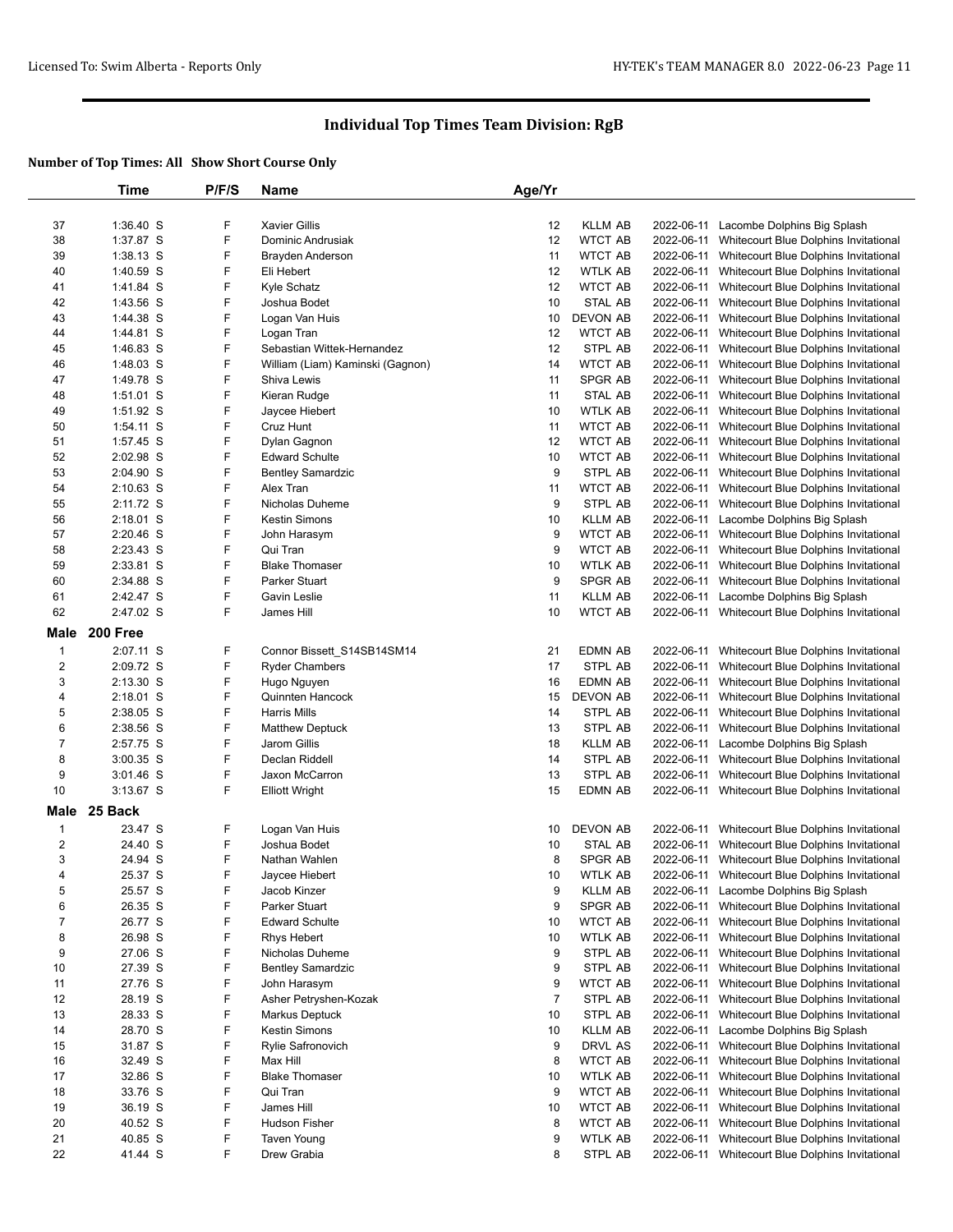|                         | Time        | P/F/S | <b>Name</b>                      | Age/Yr         |                 |            |                                                  |
|-------------------------|-------------|-------|----------------------------------|----------------|-----------------|------------|--------------------------------------------------|
|                         |             |       |                                  |                |                 |            |                                                  |
| 37                      | 1:36.40 S   | F     | <b>Xavier Gillis</b>             | 12             | <b>KLLM AB</b>  |            | 2022-06-11 Lacombe Dolphins Big Splash           |
| 38                      | 1:37.87 S   | F     | Dominic Andrusiak                | 12             | <b>WTCT AB</b>  |            | 2022-06-11 Whitecourt Blue Dolphins Invitational |
| 39                      | $1:38.13$ S | F     | Brayden Anderson                 | 11             | <b>WTCT AB</b>  |            | 2022-06-11 Whitecourt Blue Dolphins Invitational |
| 40                      | 1:40.59 S   | F     | Eli Hebert                       | 12             | <b>WTLK AB</b>  |            | 2022-06-11 Whitecourt Blue Dolphins Invitational |
| 41                      | 1:41.84 S   | F     | Kyle Schatz                      | 12             | <b>WTCT AB</b>  |            | 2022-06-11 Whitecourt Blue Dolphins Invitational |
| 42                      | 1:43.56 S   | F     | Joshua Bodet                     | 10             | <b>STAL AB</b>  | 2022-06-11 | Whitecourt Blue Dolphins Invitational            |
| 43                      | 1:44.38 S   | F     | Logan Van Huis                   | 10             | DEVON AB        |            | 2022-06-11 Whitecourt Blue Dolphins Invitational |
| 44                      | 1:44.81 S   | F     | Logan Tran                       | 12             | <b>WTCT AB</b>  |            | 2022-06-11 Whitecourt Blue Dolphins Invitational |
|                         |             | F     | Sebastian Wittek-Hernandez       | 12             | STPL AB         | 2022-06-11 |                                                  |
| 45                      | $1:46.83$ S |       |                                  |                |                 |            | Whitecourt Blue Dolphins Invitational            |
| 46                      | 1:48.03 S   | F     | William (Liam) Kaminski (Gagnon) | 14             | <b>WTCT AB</b>  |            | 2022-06-11 Whitecourt Blue Dolphins Invitational |
| 47                      | 1:49.78 S   | F     | Shiva Lewis                      | 11             | <b>SPGR AB</b>  |            | 2022-06-11 Whitecourt Blue Dolphins Invitational |
| 48                      | 1:51.01 S   | F     | Kieran Rudge                     | 11             | <b>STAL AB</b>  | 2022-06-11 | Whitecourt Blue Dolphins Invitational            |
| 49                      | 1:51.92 S   | F     | Jaycee Hiebert                   | 10             | <b>WTLK AB</b>  |            | 2022-06-11 Whitecourt Blue Dolphins Invitational |
| 50                      | 1:54.11 S   | F     | Cruz Hunt                        | 11             | <b>WTCT AB</b>  | 2022-06-11 | Whitecourt Blue Dolphins Invitational            |
| 51                      | 1:57.45 S   | F     | Dylan Gagnon                     | 12             | <b>WTCT AB</b>  |            | 2022-06-11 Whitecourt Blue Dolphins Invitational |
| 52                      | 2:02.98 S   | F     | <b>Edward Schulte</b>            | 10             | <b>WTCT AB</b>  |            | 2022-06-11 Whitecourt Blue Dolphins Invitational |
| 53                      | 2:04.90 S   | F     | <b>Bentley Samardzic</b>         | 9              | STPL AB         | 2022-06-11 | Whitecourt Blue Dolphins Invitational            |
| 54                      | $2:10.63$ S | F     | Alex Tran                        | 11             | <b>WTCT AB</b>  | 2022-06-11 | Whitecourt Blue Dolphins Invitational            |
| 55                      | 2:11.72 S   | F     | Nicholas Duheme                  | 9              | STPL AB         | 2022-06-11 | Whitecourt Blue Dolphins Invitational            |
| 56                      | 2:18.01 S   | F     | <b>Kestin Simons</b>             | 10             | <b>KLLM AB</b>  |            | 2022-06-11 Lacombe Dolphins Big Splash           |
| 57                      | 2:20.46 S   | F     | John Harasym                     | 9              | <b>WTCT AB</b>  |            | 2022-06-11 Whitecourt Blue Dolphins Invitational |
| 58                      | 2:23.43 S   | F     | Qui Tran                         | 9              | <b>WTCT AB</b>  |            | 2022-06-11 Whitecourt Blue Dolphins Invitational |
| 59                      | 2:33.81 S   | F     | <b>Blake Thomaser</b>            | 10             | <b>WTLK AB</b>  |            | 2022-06-11 Whitecourt Blue Dolphins Invitational |
| 60                      | 2:34.88 S   | F     | Parker Stuart                    | 9              | SPGR AB         |            | 2022-06-11 Whitecourt Blue Dolphins Invitational |
| 61                      | 2:42.47 S   | F     | Gavin Leslie                     | 11             | <b>KLLM AB</b>  | 2022-06-11 | Lacombe Dolphins Big Splash                      |
| 62                      | 2:47.02 S   | F     | James Hill                       | 10             | WTCT AB         |            | 2022-06-11 Whitecourt Blue Dolphins Invitational |
|                         |             |       |                                  |                |                 |            |                                                  |
| <b>Male</b>             | 200 Free    |       |                                  |                |                 |            |                                                  |
| $\mathbf{1}$            | 2:07.11 S   | F     | Connor Bissett_S14SB14SM14       | 21             | <b>EDMN AB</b>  |            | 2022-06-11 Whitecourt Blue Dolphins Invitational |
| $\overline{\mathbf{c}}$ | 2:09.72 S   | F     | <b>Ryder Chambers</b>            | 17             | STPL AB         | 2022-06-11 | Whitecourt Blue Dolphins Invitational            |
| 3                       | 2:13.30 S   | F     | Hugo Nguyen                      | 16             | <b>EDMN AB</b>  |            | 2022-06-11 Whitecourt Blue Dolphins Invitational |
| 4                       | 2:18.01 S   | F     | Quinnten Hancock                 | 15             | <b>DEVON AB</b> |            | 2022-06-11 Whitecourt Blue Dolphins Invitational |
| 5                       | 2:38.05 S   | F     | <b>Harris Mills</b>              | 14             | STPL AB         |            | 2022-06-11 Whitecourt Blue Dolphins Invitational |
| 6                       | 2:38.56 S   | F     | <b>Matthew Deptuck</b>           | 13             | STPL AB         |            | 2022-06-11 Whitecourt Blue Dolphins Invitational |
| $\overline{7}$          | 2:57.75 S   | F     | Jarom Gillis                     | 18             | <b>KLLM AB</b>  |            | 2022-06-11 Lacombe Dolphins Big Splash           |
| 8                       | 3:00.35 S   | F     | Declan Riddell                   | 14             | STPL AB         | 2022-06-11 | Whitecourt Blue Dolphins Invitational            |
| 9                       | $3:01.46$ S | F     | Jaxon McCarron                   | 13             | STPL AB         |            | 2022-06-11 Whitecourt Blue Dolphins Invitational |
| 10                      | $3:13.67$ S | F     | <b>Elliott Wright</b>            | 15             | <b>EDMN AB</b>  |            | 2022-06-11 Whitecourt Blue Dolphins Invitational |
|                         |             |       |                                  |                |                 |            |                                                  |
| Male                    | 25 Back     |       |                                  |                |                 |            |                                                  |
| $\mathbf{1}$            | 23.47 S     | F     | Logan Van Huis                   | 10             | DEVON AB        |            | 2022-06-11 Whitecourt Blue Dolphins Invitational |
| $\overline{\mathbf{c}}$ | 24.40 S     | F     | Joshua Bodet                     | 10             | STAL AB         |            | 2022-06-11 Whitecourt Blue Dolphins Invitational |
| 3                       | 24.94 S     | F     | Nathan Wahlen                    | 8              | SPGR AB         |            | 2022-06-11 Whitecourt Blue Dolphins Invitational |
| $\overline{4}$          | 25.37 S     | F     | Jaycee Hiebert                   | 10             | <b>WTLK AB</b>  |            | 2022-06-11 Whitecourt Blue Dolphins Invitational |
| 5                       | 25.57 S     | F     | Jacob Kinzer                     | 9              | <b>KLLM AB</b>  | 2022-06-11 | Lacombe Dolphins Big Splash                      |
| 6                       | 26.35 S     | F     | Parker Stuart                    | 9              | SPGR AB         | 2022-06-11 | Whitecourt Blue Dolphins Invitational            |
| $\overline{7}$          | 26.77 S     | F     | <b>Edward Schulte</b>            | 10             | WTCT AB         |            | 2022-06-11 Whitecourt Blue Dolphins Invitational |
| 8                       | 26.98 S     | F     | <b>Rhys Hebert</b>               | 10             | <b>WTLK AB</b>  | 2022-06-11 | Whitecourt Blue Dolphins Invitational            |
| 9                       | 27.06 S     | F     | Nicholas Duheme                  | 9              | STPL AB         |            | 2022-06-11 Whitecourt Blue Dolphins Invitational |
| 10                      | 27.39 S     | F     | <b>Bentley Samardzic</b>         | 9              | STPL AB         | 2022-06-11 | Whitecourt Blue Dolphins Invitational            |
| 11                      | 27.76 S     | F     | John Harasym                     | 9              | WTCT AB         | 2022-06-11 | Whitecourt Blue Dolphins Invitational            |
| 12                      | 28.19 S     | F     | Asher Petryshen-Kozak            | $\overline{7}$ | STPL AB         | 2022-06-11 | Whitecourt Blue Dolphins Invitational            |
| 13                      | 28.33 S     | F     | Markus Deptuck                   | 10             | STPL AB         | 2022-06-11 | Whitecourt Blue Dolphins Invitational            |
| 14                      | 28.70 S     | F     | <b>Kestin Simons</b>             | 10             | <b>KLLM AB</b>  | 2022-06-11 | Lacombe Dolphins Big Splash                      |
| 15                      | 31.87 S     | F     | Rylie Safronovich                | 9              | DRVL AS         | 2022-06-11 | Whitecourt Blue Dolphins Invitational            |
| 16                      | 32.49 S     | F     | Max Hill                         | 8              | <b>WTCT AB</b>  | 2022-06-11 | Whitecourt Blue Dolphins Invitational            |
| 17                      | 32.86 S     | F     | <b>Blake Thomaser</b>            | 10             | <b>WTLK AB</b>  | 2022-06-11 | Whitecourt Blue Dolphins Invitational            |
| 18                      | 33.76 S     | F     | Qui Tran                         | 9              | <b>WTCT AB</b>  | 2022-06-11 | Whitecourt Blue Dolphins Invitational            |
| 19                      | 36.19 S     | F     | James Hill                       | 10             | <b>WTCT AB</b>  | 2022-06-11 | Whitecourt Blue Dolphins Invitational            |
| 20                      | 40.52 S     | F     | Hudson Fisher                    |                | <b>WTCT AB</b>  | 2022-06-11 |                                                  |
|                         |             |       |                                  | 8              |                 |            | Whitecourt Blue Dolphins Invitational            |
| 21                      | 40.85 S     | F     | <b>Taven Young</b>               | 9              | <b>WTLK AB</b>  | 2022-06-11 | Whitecourt Blue Dolphins Invitational            |
| 22                      | 41.44 S     | F     | Drew Grabia                      | 8              | STPL AB         |            | 2022-06-11 Whitecourt Blue Dolphins Invitational |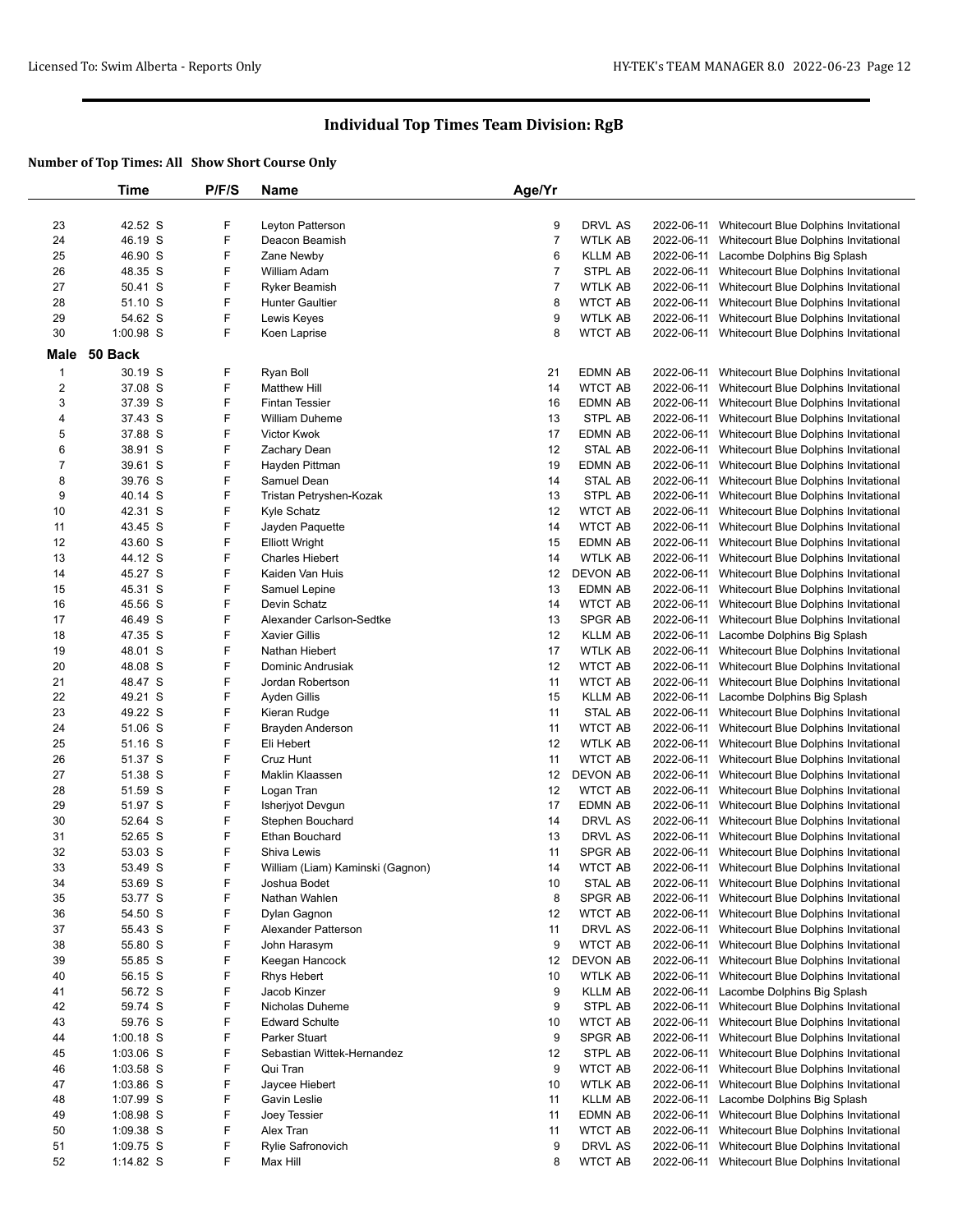|                         | Time        | P/F/S | <b>Name</b>                      | Age/Yr         |                |            |                                                  |
|-------------------------|-------------|-------|----------------------------------|----------------|----------------|------------|--------------------------------------------------|
|                         |             |       |                                  |                |                |            |                                                  |
| 23                      | 42.52 S     | F     | Leyton Patterson                 | 9              | DRVL AS        | 2022-06-11 | Whitecourt Blue Dolphins Invitational            |
| 24                      | 46.19 S     | F     | Deacon Beamish                   | $\overline{7}$ | <b>WTLK AB</b> | 2022-06-11 | Whitecourt Blue Dolphins Invitational            |
| 25                      | 46.90 S     | F     | Zane Newby                       | 6              | <b>KLLM AB</b> | 2022-06-11 | Lacombe Dolphins Big Splash                      |
| 26                      | 48.35 S     | F     | William Adam                     | $\overline{7}$ | STPL AB        | 2022-06-11 | Whitecourt Blue Dolphins Invitational            |
| 27                      |             |       |                                  |                | <b>WTLK AB</b> |            |                                                  |
|                         | 50.41 S     | F     | <b>Ryker Beamish</b>             | $\overline{7}$ |                | 2022-06-11 | Whitecourt Blue Dolphins Invitational            |
| 28                      | 51.10 S     | F     | <b>Hunter Gaultier</b>           | 8              | <b>WTCT AB</b> | 2022-06-11 | Whitecourt Blue Dolphins Invitational            |
| 29                      | 54.62 S     | F     | Lewis Keyes                      | 9              | WTLK AB        | 2022-06-11 | Whitecourt Blue Dolphins Invitational            |
| $30\,$                  | 1:00.98 S   | F     | Koen Laprise                     | 8              | <b>WTCT AB</b> | 2022-06-11 | Whitecourt Blue Dolphins Invitational            |
| <b>Male</b>             | 50 Back     |       |                                  |                |                |            |                                                  |
| $\mathbf{1}$            | 30.19 S     | F     | Ryan Boll                        | 21             | EDMN AB        | 2022-06-11 | Whitecourt Blue Dolphins Invitational            |
| $\overline{\mathbf{c}}$ |             | F     | <b>Matthew Hill</b>              | 14             | <b>WTCT AB</b> |            |                                                  |
|                         | 37.08 S     |       |                                  |                |                | 2022-06-11 | Whitecourt Blue Dolphins Invitational            |
| 3                       | 37.39 S     | F     | <b>Fintan Tessier</b>            | 16             | EDMN AB        | 2022-06-11 | Whitecourt Blue Dolphins Invitational            |
| 4                       | 37.43 S     | F     | <b>William Duheme</b>            | 13             | STPL AB        | 2022-06-11 | Whitecourt Blue Dolphins Invitational            |
| 5                       | 37.88 S     | F     | Victor Kwok                      | 17             | EDMN AB        | 2022-06-11 | Whitecourt Blue Dolphins Invitational            |
| 6                       | 38.91 S     | F     | Zachary Dean                     | 12             | <b>STAL AB</b> | 2022-06-11 | Whitecourt Blue Dolphins Invitational            |
| $\boldsymbol{7}$        | 39.61 S     | F     | Hayden Pittman                   | 19             | EDMN AB        | 2022-06-11 | Whitecourt Blue Dolphins Invitational            |
| 8                       | 39.76 S     | F     | Samuel Dean                      | 14             | STAL AB        | 2022-06-11 | Whitecourt Blue Dolphins Invitational            |
| 9                       | 40.14 S     | F     | Tristan Petryshen-Kozak          | 13             | STPL AB        | 2022-06-11 | Whitecourt Blue Dolphins Invitational            |
| 10                      | 42.31 S     | F     | Kyle Schatz                      | 12             | <b>WTCT AB</b> | 2022-06-11 | Whitecourt Blue Dolphins Invitational            |
| 11                      | 43.45 S     | F     | Jayden Paquette                  | 14             | <b>WTCT AB</b> | 2022-06-11 | Whitecourt Blue Dolphins Invitational            |
| 12                      | 43.60 S     | F     | <b>Elliott Wright</b>            | 15             | EDMN AB        | 2022-06-11 | Whitecourt Blue Dolphins Invitational            |
| 13                      | 44.12 S     | F     | <b>Charles Hiebert</b>           | 14             | <b>WTLK AB</b> | 2022-06-11 | Whitecourt Blue Dolphins Invitational            |
| 14                      | 45.27 S     | F     | Kaiden Van Huis                  | 12             | DEVON AB       | 2022-06-11 | Whitecourt Blue Dolphins Invitational            |
| 15                      | 45.31 S     | F     | Samuel Lepine                    | 13             | EDMN AB        | 2022-06-11 | Whitecourt Blue Dolphins Invitational            |
| 16                      | 45.56 S     | F     | Devin Schatz                     | 14             | <b>WTCT AB</b> | 2022-06-11 | Whitecourt Blue Dolphins Invitational            |
|                         |             | F     | Alexander Carlson-Sedtke         |                | SPGR AB        |            |                                                  |
| 17                      | 46.49 S     |       |                                  | 13             |                | 2022-06-11 | Whitecourt Blue Dolphins Invitational            |
| 18                      | 47.35 S     | F     | <b>Xavier Gillis</b>             | 12             | <b>KLLM AB</b> | 2022-06-11 | Lacombe Dolphins Big Splash                      |
| 19                      | 48.01 S     | F     | Nathan Hiebert                   | 17             | <b>WTLK AB</b> | 2022-06-11 | Whitecourt Blue Dolphins Invitational            |
| 20                      | 48.08 S     | F     | Dominic Andrusiak                | 12             | <b>WTCT AB</b> | 2022-06-11 | Whitecourt Blue Dolphins Invitational            |
| 21                      | 48.47 S     | F     | Jordan Robertson                 | 11             | <b>WTCT AB</b> | 2022-06-11 | Whitecourt Blue Dolphins Invitational            |
| 22                      | 49.21 S     | F     | Ayden Gillis                     | 15             | <b>KLLM AB</b> | 2022-06-11 | Lacombe Dolphins Big Splash                      |
| 23                      | 49.22 S     | F     | Kieran Rudge                     | 11             | STAL AB        | 2022-06-11 | Whitecourt Blue Dolphins Invitational            |
| 24                      | 51.06 S     | F     | Brayden Anderson                 | 11             | <b>WTCT AB</b> | 2022-06-11 | Whitecourt Blue Dolphins Invitational            |
| 25                      | 51.16 S     | F     | Eli Hebert                       | 12             | <b>WTLK AB</b> | 2022-06-11 | Whitecourt Blue Dolphins Invitational            |
| 26                      | 51.37 S     | F     | Cruz Hunt                        | 11             | <b>WTCT AB</b> | 2022-06-11 | Whitecourt Blue Dolphins Invitational            |
| 27                      | 51.38 S     | F     | Maklin Klaassen                  | 12             | DEVON AB       | 2022-06-11 | Whitecourt Blue Dolphins Invitational            |
| 28                      | 51.59 S     | F     | Logan Tran                       | 12             | <b>WTCT AB</b> | 2022-06-11 | Whitecourt Blue Dolphins Invitational            |
| 29                      | 51.97 S     | F     | Isherjyot Devgun                 | 17             | EDMN AB        | 2022-06-11 | Whitecourt Blue Dolphins Invitational            |
| 30                      | 52.64 S     | F     | Stephen Bouchard                 | 14             | DRVL AS        | 2022-06-11 | Whitecourt Blue Dolphins Invitational            |
| 31                      | 52.65 S     | F     | <b>Ethan Bouchard</b>            | 13             | DRVL AS        | 2022-06-11 | Whitecourt Blue Dolphins Invitational            |
| 32                      | 53.03 S     | F     | Shiva Lewis                      | 11             | SPGR AB        | 2022-06-11 | Whitecourt Blue Dolphins Invitational            |
| 33                      | 53.49 S     | F     | William (Liam) Kaminski (Gagnon) | 14             | <b>WTCT AB</b> |            | 2022-06-11 Whitecourt Blue Dolphins Invitational |
|                         |             | F     | Joshua Bodet <b>Marc</b>         |                |                |            | 2022-06-11 Whitecourt Blue Dolphins Invitational |
| 34                      | 53.69 S     |       |                                  | $10$           | STAL AB        |            |                                                  |
| 35                      | 53.77 S     | F     | Nathan Wahlen                    | 8              | SPGR AB        |            | 2022-06-11 Whitecourt Blue Dolphins Invitational |
| 36                      | 54.50 S     | F     | Dylan Gagnon                     | 12             | <b>WTCT AB</b> | 2022-06-11 | Whitecourt Blue Dolphins Invitational            |
| 37                      | 55.43 S     | F     | Alexander Patterson              | 11             | DRVL AS        | 2022-06-11 | Whitecourt Blue Dolphins Invitational            |
| 38                      | 55.80 S     | F     | John Harasym                     | 9              | <b>WTCT AB</b> | 2022-06-11 | Whitecourt Blue Dolphins Invitational            |
| 39                      | 55.85 S     | F     | Keegan Hancock                   | 12             | DEVON AB       | 2022-06-11 | Whitecourt Blue Dolphins Invitational            |
| 40                      | 56.15 S     | F     | Rhys Hebert                      | 10             | <b>WTLK AB</b> | 2022-06-11 | Whitecourt Blue Dolphins Invitational            |
| 41                      | 56.72 S     | F     | Jacob Kinzer                     | 9              | <b>KLLM AB</b> | 2022-06-11 | Lacombe Dolphins Big Splash                      |
| 42                      | 59.74 S     | F     | Nicholas Duheme                  | 9              | STPL AB        | 2022-06-11 | Whitecourt Blue Dolphins Invitational            |
| 43                      | 59.76 S     | F     | <b>Edward Schulte</b>            | 10             | <b>WTCT AB</b> | 2022-06-11 | Whitecourt Blue Dolphins Invitational            |
| 44                      | $1:00.18$ S | F     | Parker Stuart                    | 9              | SPGR AB        | 2022-06-11 | Whitecourt Blue Dolphins Invitational            |
| 45                      | $1:03.06$ S | F     | Sebastian Wittek-Hernandez       | 12             | STPL AB        | 2022-06-11 | Whitecourt Blue Dolphins Invitational            |
| 46                      | 1:03.58 S   | F     | Qui Tran                         | 9              | <b>WTCT AB</b> | 2022-06-11 | Whitecourt Blue Dolphins Invitational            |
| 47                      | $1:03.86$ S | F     | Jaycee Hiebert                   | 10             | WTLK AB        | 2022-06-11 | Whitecourt Blue Dolphins Invitational            |
| 48                      | 1:07.99 S   | F     | Gavin Leslie                     | 11             | <b>KLLM AB</b> | 2022-06-11 | Lacombe Dolphins Big Splash                      |
|                         |             |       |                                  |                |                |            |                                                  |
| 49                      | 1:08.98 S   | F     | Joey Tessier                     | 11             | EDMN AB        | 2022-06-11 | Whitecourt Blue Dolphins Invitational            |
| 50                      | $1:09.38$ S | F     | Alex Tran                        | 11             | WTCT AB        | 2022-06-11 | Whitecourt Blue Dolphins Invitational            |
| 51                      | $1:09.75$ S | F     | Rylie Safronovich                | 9              | DRVL AS        | 2022-06-11 | Whitecourt Blue Dolphins Invitational            |
| 52                      | 1:14.82 S   | F     | Max Hill                         | 8              | <b>WTCT AB</b> | 2022-06-11 | Whitecourt Blue Dolphins Invitational            |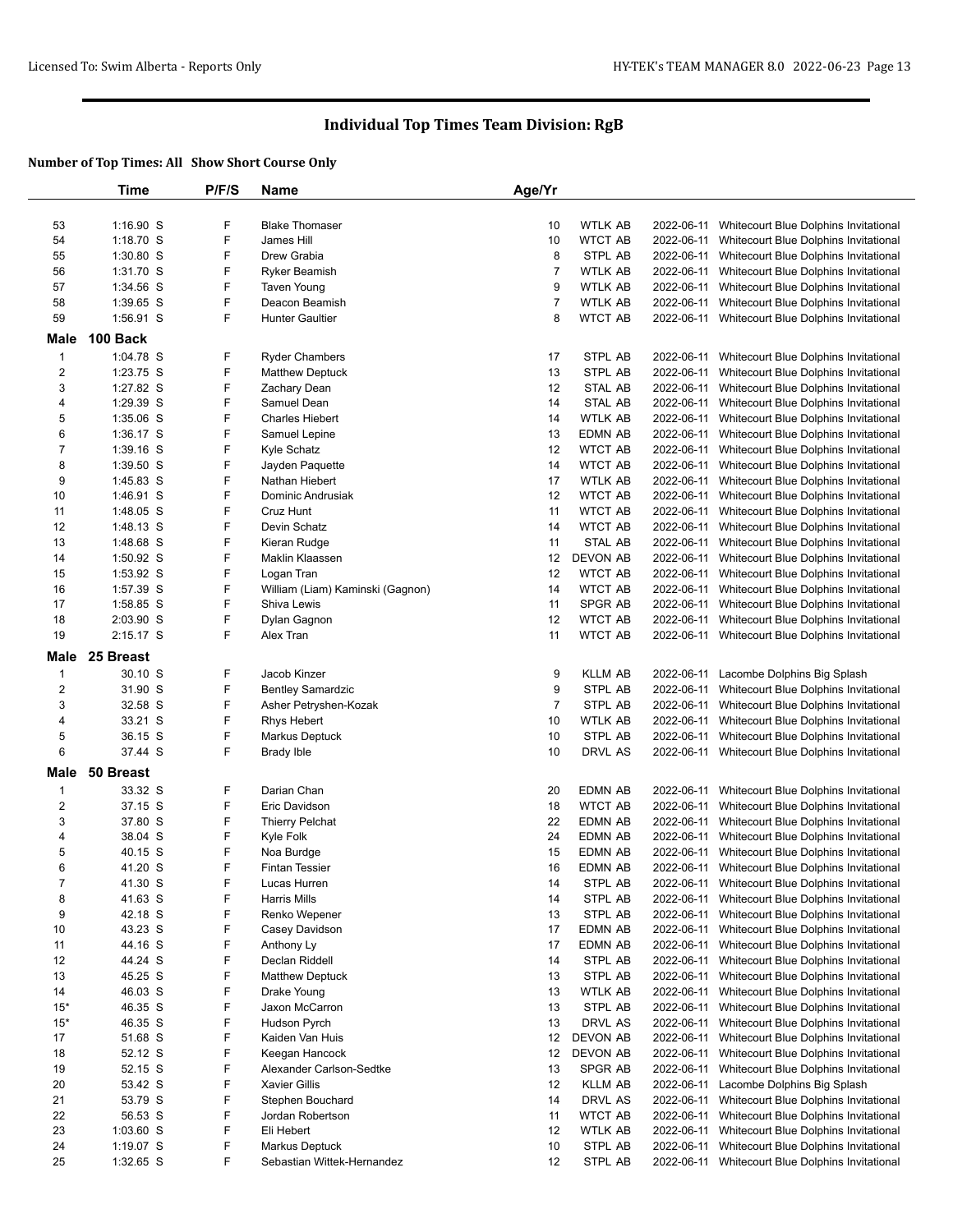|                         | Time        | P/F/S | <b>Name</b>                      | Age/Yr         |                 |            |                                                  |
|-------------------------|-------------|-------|----------------------------------|----------------|-----------------|------------|--------------------------------------------------|
|                         |             |       |                                  |                |                 |            |                                                  |
| 53                      | $1:16.90$ S | F     | <b>Blake Thomaser</b>            | 10             | WTLK AB         | 2022-06-11 | Whitecourt Blue Dolphins Invitational            |
| 54                      | $1:18.70$ S | F     | James Hill                       | 10             | <b>WTCT AB</b>  | 2022-06-11 | Whitecourt Blue Dolphins Invitational            |
| 55                      | $1:30.80$ S | F     | Drew Grabia                      | 8              | STPL AB         | 2022-06-11 | Whitecourt Blue Dolphins Invitational            |
| 56                      | 1:31.70 S   | F     | <b>Ryker Beamish</b>             | 7              | <b>WTLK AB</b>  | 2022-06-11 | Whitecourt Blue Dolphins Invitational            |
| 57                      | 1:34.56 S   | F     | <b>Taven Young</b>               | 9              | <b>WTLK AB</b>  | 2022-06-11 | Whitecourt Blue Dolphins Invitational            |
|                         |             |       |                                  |                |                 |            |                                                  |
| 58                      | 1:39.65 S   | F     | Deacon Beamish                   | 7              | <b>WTLK AB</b>  | 2022-06-11 | Whitecourt Blue Dolphins Invitational            |
| 59                      | 1:56.91 S   | F     | <b>Hunter Gaultier</b>           | 8              | <b>WTCT AB</b>  |            | 2022-06-11 Whitecourt Blue Dolphins Invitational |
| Male                    | 100 Back    |       |                                  |                |                 |            |                                                  |
| $\mathbf{1}$            | 1:04.78 S   | F     | <b>Ryder Chambers</b>            | 17             | STPL AB         | 2022-06-11 | Whitecourt Blue Dolphins Invitational            |
| $\overline{\mathbf{c}}$ | 1:23.75 S   | F     | <b>Matthew Deptuck</b>           | 13             | STPL AB         | 2022-06-11 | Whitecourt Blue Dolphins Invitational            |
| 3                       | 1:27.82 S   | F     | Zachary Dean                     | 12             | STAL AB         | 2022-06-11 | Whitecourt Blue Dolphins Invitational            |
| 4                       | 1:29.39 S   | F     | Samuel Dean                      | 14             | STAL AB         |            | 2022-06-11 Whitecourt Blue Dolphins Invitational |
| 5                       | 1:35.06 S   | F     | <b>Charles Hiebert</b>           | 14             | <b>WTLK AB</b>  | 2022-06-11 | Whitecourt Blue Dolphins Invitational            |
| 6                       | 1:36.17 S   | F     | Samuel Lepine                    | 13             | EDMN AB         | 2022-06-11 | Whitecourt Blue Dolphins Invitational            |
|                         |             | F     |                                  |                | <b>WTCT AB</b>  |            |                                                  |
| 7                       | $1:39.16$ S |       | Kyle Schatz                      | 12             |                 | 2022-06-11 | Whitecourt Blue Dolphins Invitational            |
| 8                       | $1:39.50$ S | F     | Jayden Paquette                  | 14             | <b>WTCT AB</b>  | 2022-06-11 | Whitecourt Blue Dolphins Invitational            |
| 9                       | 1:45.83 S   | F     | Nathan Hiebert                   | 17             | <b>WTLK AB</b>  | 2022-06-11 | Whitecourt Blue Dolphins Invitational            |
| 10                      | 1:46.91 S   | F     | Dominic Andrusiak                | 12             | <b>WTCT AB</b>  | 2022-06-11 | Whitecourt Blue Dolphins Invitational            |
| 11                      | 1:48.05 S   | F     | Cruz Hunt                        | 11             | <b>WTCT AB</b>  | 2022-06-11 | Whitecourt Blue Dolphins Invitational            |
| 12                      | 1:48.13 S   | F     | Devin Schatz                     | 14             | <b>WTCT AB</b>  | 2022-06-11 | Whitecourt Blue Dolphins Invitational            |
| 13                      | 1:48.68 S   | F     | Kieran Rudge                     | 11             | <b>STAL AB</b>  | 2022-06-11 | Whitecourt Blue Dolphins Invitational            |
| 14                      | 1:50.92 S   | F     | Maklin Klaassen                  | 12             | <b>DEVON AB</b> | 2022-06-11 | Whitecourt Blue Dolphins Invitational            |
| 15                      | 1:53.92 S   | F     | Logan Tran                       | 12             | <b>WTCT AB</b>  | 2022-06-11 | Whitecourt Blue Dolphins Invitational            |
| 16                      | 1:57.39 S   | F     | William (Liam) Kaminski (Gagnon) | 14             | <b>WTCT AB</b>  | 2022-06-11 | Whitecourt Blue Dolphins Invitational            |
| 17                      | 1:58.85 S   | F     | Shiva Lewis                      | 11             | SPGR AB         | 2022-06-11 | Whitecourt Blue Dolphins Invitational            |
| 18                      | $2:03.90$ S | F     | Dylan Gagnon                     | 12             | <b>WTCT AB</b>  | 2022-06-11 | Whitecourt Blue Dolphins Invitational            |
| 19                      | 2:15.17 S   | F     | Alex Tran                        | 11             | <b>WTCT AB</b>  |            | 2022-06-11 Whitecourt Blue Dolphins Invitational |
|                         |             |       |                                  |                |                 |            |                                                  |
| Male                    | 25 Breast   |       |                                  |                |                 |            |                                                  |
| $\mathbf{1}$            | 30.10 S     | F     | Jacob Kinzer                     | 9              | <b>KLLM AB</b>  |            | 2022-06-11 Lacombe Dolphins Big Splash           |
| $\overline{\mathbf{c}}$ | 31.90 S     | F     | <b>Bentley Samardzic</b>         | 9              | STPL AB         |            | 2022-06-11 Whitecourt Blue Dolphins Invitational |
| 3                       | 32.58 S     | F     | Asher Petryshen-Kozak            | $\overline{7}$ | STPL AB         | 2022-06-11 | Whitecourt Blue Dolphins Invitational            |
| 4                       | 33.21 S     | F     | Rhys Hebert                      | 10             | WTLK AB         |            | 2022-06-11 Whitecourt Blue Dolphins Invitational |
| 5                       | 36.15 S     | F     | <b>Markus Deptuck</b>            | 10             | STPL AB         | 2022-06-11 | Whitecourt Blue Dolphins Invitational            |
| 6                       | 37.44 S     | F     | Brady Ible                       | 10             | DRVL AS         |            | 2022-06-11 Whitecourt Blue Dolphins Invitational |
|                         |             |       |                                  |                |                 |            |                                                  |
| Male                    | 50 Breast   |       |                                  |                |                 |            |                                                  |
| $\mathbf{1}$            | 33.32 S     | F     | Darian Chan                      | 20             | EDMN AB         | 2022-06-11 | Whitecourt Blue Dolphins Invitational            |
| $\overline{2}$          | 37.15 S     | F     | Eric Davidson                    | 18             | <b>WTCT AB</b>  | 2022-06-11 | Whitecourt Blue Dolphins Invitational            |
| 3                       | 37.80 S     | F     | <b>Thierry Pelchat</b>           | 22             | EDMN AB         |            | 2022-06-11 Whitecourt Blue Dolphins Invitational |
| 4                       | 38.04 S     | F     | Kyle Folk                        | 24             | EDMN AB         |            | 2022-06-11 Whitecourt Blue Dolphins Invitational |
| 5                       | 40.15 S     | F     | Noa Burdge                       | 15             | EDMN AB         |            | 2022-06-11 Whitecourt Blue Dolphins Invitational |
| 6                       | 41.20 S     | F     | <b>Fintan Tessier</b>            | 16             | EDMN AB         |            | 2022-06-11 Whitecourt Blue Dolphins Invitational |
| 7                       | 41.30 S     | F     | Lucas Hurren                     | 14             | STPL AB         |            | 2022-06-11 Whitecourt Blue Dolphins Invitational |
| 8                       | 41.63 S     | F     | Harris Mills                     | 14             | STPL AB         |            | 2022-06-11 Whitecourt Blue Dolphins Invitational |
| 9                       | 42.18 S     | F     | Renko Wepener                    | 13             | STPL AB         |            | 2022-06-11 Whitecourt Blue Dolphins Invitational |
| 10                      | 43.23 S     | F     | Casey Davidson                   | 17             | <b>EDMN AB</b>  | 2022-06-11 | Whitecourt Blue Dolphins Invitational            |
| 11                      | 44.16 S     | F     | Anthony Ly                       | 17             | EDMN AB         |            | 2022-06-11 Whitecourt Blue Dolphins Invitational |
| 12                      | 44.24 S     | F     | Declan Riddell                   | 14             | STPL AB         | 2022-06-11 | Whitecourt Blue Dolphins Invitational            |
| 13                      | 45.25 S     | F     | <b>Matthew Deptuck</b>           | 13             | STPL AB         | 2022-06-11 | Whitecourt Blue Dolphins Invitational            |
| 14                      | 46.03 S     | F     | Drake Young                      | 13             | WTLK AB         | 2022-06-11 | Whitecourt Blue Dolphins Invitational            |
| $15*$                   | 46.35 S     | F     | Jaxon McCarron                   | 13             | STPL AB         | 2022-06-11 | Whitecourt Blue Dolphins Invitational            |
| $15*$                   |             | F     |                                  | 13             | DRVL AS         | 2022-06-11 | Whitecourt Blue Dolphins Invitational            |
|                         | 46.35 S     |       | Hudson Pyrch                     |                |                 |            |                                                  |
| 17                      | 51.68 S     | F     | Kaiden Van Huis                  | 12             | DEVON AB        | 2022-06-11 | Whitecourt Blue Dolphins Invitational            |
| 18                      | 52.12 S     | F     | Keegan Hancock                   | 12             | DEVON AB        | 2022-06-11 | Whitecourt Blue Dolphins Invitational            |
| 19                      | 52.15 S     | F     | Alexander Carlson-Sedtke         | 13             | <b>SPGR AB</b>  | 2022-06-11 | Whitecourt Blue Dolphins Invitational            |
| 20                      | 53.42 S     | F     | <b>Xavier Gillis</b>             | 12             | KLLM AB         | 2022-06-11 | Lacombe Dolphins Big Splash                      |
| 21                      | 53.79 S     | F     | Stephen Bouchard                 | 14             | DRVL AS         | 2022-06-11 | Whitecourt Blue Dolphins Invitational            |
| 22                      | 56.53 S     | F     | Jordan Robertson                 | 11             | WTCT AB         | 2022-06-11 | Whitecourt Blue Dolphins Invitational            |
| 23                      | $1:03.60$ S | F     | Eli Hebert                       | 12             | WTLK AB         |            | 2022-06-11 Whitecourt Blue Dolphins Invitational |
| 24                      | $1:19.07$ S | F     | <b>Markus Deptuck</b>            | 10             | STPL AB         | 2022-06-11 | Whitecourt Blue Dolphins Invitational            |
| 25                      | 1:32.65 S   | F     | Sebastian Wittek-Hernandez       | 12             | STPL AB         |            | 2022-06-11 Whitecourt Blue Dolphins Invitational |